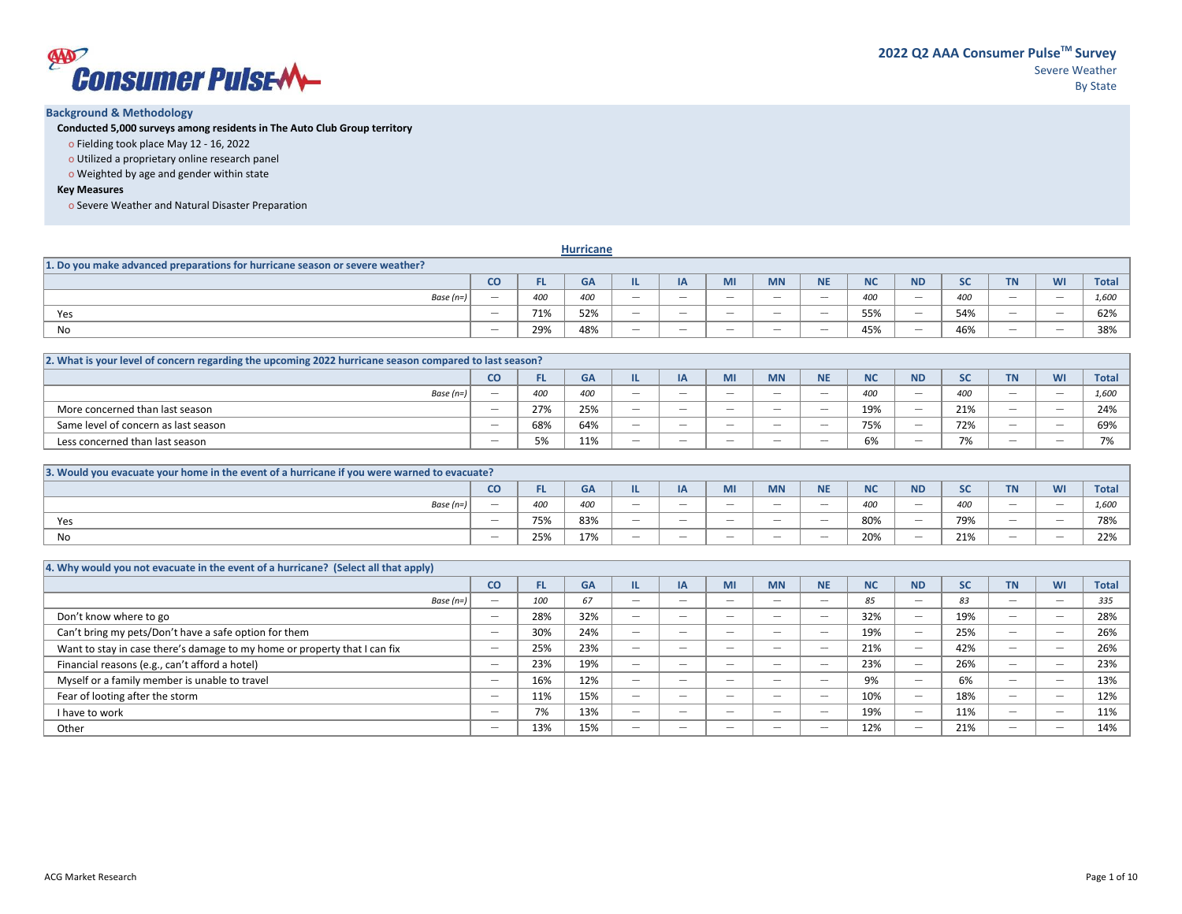

### **Background & Methodology**

**Conducted 5,000 surveys among residents in The Auto Club Group territory**

- o Fielding took place May 12 16, 2022
- o Utilized a proprietary online research panel
- o Weighted by age and gender within state

### **Key Measures**

o Severe Weather and Natural Disaster Preparation

|                                                                              |                                 |     | <b>Hurricane</b> |                          |                   |                                 |                                 |                                 |           |                          |           |                                 |                          |              |
|------------------------------------------------------------------------------|---------------------------------|-----|------------------|--------------------------|-------------------|---------------------------------|---------------------------------|---------------------------------|-----------|--------------------------|-----------|---------------------------------|--------------------------|--------------|
| 1. Do you make advanced preparations for hurricane season or severe weather? |                                 |     |                  |                          |                   |                                 |                                 |                                 |           |                          |           |                                 |                          |              |
|                                                                              | <b>CO</b>                       |     | <b>GA</b>        |                          | IA                | MI                              | <b>MN</b>                       | <b>NIE</b><br>.                 | <b>NC</b> | <b>ND</b>                | <b>SC</b> | <b>TN</b>                       | <b>WI</b>                | <b>Total</b> |
| Base $(n=)$                                                                  | $\overline{\phantom{a}}$        | 400 | 400              | $\overline{\phantom{a}}$ | $-$               | $\sim$                          | $\overline{\phantom{a}}$        | $\overline{\phantom{a}}$        | 400       | $\overline{\phantom{a}}$ | 400       | $\sim$                          | $\overline{\phantom{a}}$ | 1.600        |
| Yes                                                                          | $\sim$                          | 71% | 52%              | $\overline{\phantom{a}}$ | $\sim$            | $\overline{\phantom{a}}$        | $\sim$                          | $\overline{\phantom{a}}$        | 55%       | $\overline{\phantom{a}}$ | 54%       | $\sim$                          | $\overline{\phantom{a}}$ | 62%          |
| No                                                                           | $\hspace{0.1mm}-\hspace{0.1mm}$ | 29% | 48%              | $\overline{\phantom{a}}$ | $\hspace{0.05cm}$ | $\hspace{0.1mm}-\hspace{0.1mm}$ | $\hspace{0.1mm}-\hspace{0.1mm}$ | $\hspace{0.1mm}-\hspace{0.1mm}$ | 45%       |                          | 46%       | $\hspace{0.1mm}-\hspace{0.1mm}$ |                          | 38%          |

| 2. What is your level of concern regarding the upcoming 2022 hurricane season compared to last season? |                          |     |           |                                 |                   |                                 |                                 |                                 |           |                                 |              |                                 |                                           |                          |
|--------------------------------------------------------------------------------------------------------|--------------------------|-----|-----------|---------------------------------|-------------------|---------------------------------|---------------------------------|---------------------------------|-----------|---------------------------------|--------------|---------------------------------|-------------------------------------------|--------------------------|
|                                                                                                        | CO.                      |     | <b>GA</b> |                                 | IΑ                |                                 | <b>MN</b>                       | <b>NIE</b>                      | <b>NC</b> | <b>ND</b>                       | $\mathbf{c}$ | <b>TN</b>                       | <b>MI</b><br>VV I                         | <b>Total</b>             |
| Base $(n=)$                                                                                            | $\overline{\phantom{a}}$ | 400 | 400       | $\overline{\phantom{a}}$        | $\hspace{0.5cm}$  | $\overline{\phantom{a}}$        | $\hspace{0.1mm}-\hspace{0.1mm}$ | $\overline{\phantom{a}}$        | 400       | $\overline{\phantom{a}}$        | 400          | $\hspace{0.1mm}-\hspace{0.1mm}$ | $\qquad \qquad \overline{\qquad \qquad }$ | 1.600                    |
| More concerned than last season                                                                        | $\overline{\phantom{a}}$ | 27% | 25%       | $\overline{\phantom{a}}$        | $-$               | $\overline{\phantom{a}}$        | $\overline{\phantom{a}}$        | $\overline{\phantom{a}}$        | 19%       | $\overline{\phantom{a}}$        | 21%          | $\overline{\phantom{a}}$        | $\overline{\phantom{a}}$                  | 24%                      |
| Same level of concern as last season                                                                   |                          | 68% | 64%       | $\hspace{0.1mm}-\hspace{0.1mm}$ | $\hspace{0.05cm}$ | $\hspace{0.1mm}-\hspace{0.1mm}$ | $\hspace{0.1mm}-\hspace{0.1mm}$ | $\hspace{0.1mm}-\hspace{0.1mm}$ | 75%       | $\hspace{0.1mm}-\hspace{0.1mm}$ | 72%          | $\hspace{0.1mm}-\hspace{0.1mm}$ | $\qquad \qquad \overline{\qquad \qquad }$ | 69%                      |
| Less concerned than last season                                                                        |                          | 5%  | 11%       | $\hspace{0.1mm}-\hspace{0.1mm}$ | $\hspace{0.05cm}$ | $\hspace{0.1mm}-\hspace{0.1mm}$ | $\hspace{0.1mm}-\hspace{0.1mm}$ | $\hspace{0.1mm}-\hspace{0.1mm}$ | 6%        | $\hspace{0.05cm}$               | 7%           |                                 | $\qquad \qquad \overline{\qquad \qquad }$ | $\overline{\phantom{a}}$ |

| 3. Would you evacuate your home in the event of a hurricane if you were warned to evacuate? |                          |                       |     |                          |            |        |                                 |                                 |     |                          |                   |           |                                           |              |
|---------------------------------------------------------------------------------------------|--------------------------|-----------------------|-----|--------------------------|------------|--------|---------------------------------|---------------------------------|-----|--------------------------|-------------------|-----------|-------------------------------------------|--------------|
|                                                                                             | CO                       |                       | GΑ  |                          | $\sqrt{ }$ | wu     | <b>MN</b>                       | <b>ALC:</b><br>                 |     | <b>ND</b>                | <b>SC</b>         | <b>TN</b> | WI                                        | <b>Total</b> |
| Base $(n=)$                                                                                 | $\overline{\phantom{a}}$ | 400                   | 400 | $\overline{\phantom{a}}$ | $-$        | $\sim$ | $\hspace{0.1mm}-\hspace{0.1mm}$ | $\overline{\phantom{a}}$        | 400 |                          | 400               |           |                                           | 1.60C        |
| Yes                                                                                         | $\hspace{0.05cm}$        | 75%                   | 83% | $\overline{\phantom{a}}$ | $- -$      |        | $\hspace{0.1mm}-\hspace{0.1mm}$ | $\hspace{0.1mm}-\hspace{0.1mm}$ | 80% | $\overline{\phantom{a}}$ | 79%               |           | $\qquad \qquad \overline{\qquad \qquad }$ | 78%          |
| No.                                                                                         | $\hspace{0.05cm}$        | $2 - 2$<br><b>25%</b> | 17% | $\overline{\phantom{a}}$ | $- -$      |        | $\hspace{0.1mm}-\hspace{0.1mm}$ | $\hspace{0.1mm}-\hspace{0.1mm}$ | 20% | $\overline{\phantom{a}}$ | 240<br><b>21%</b> |           | $\qquad \qquad \overline{\qquad \qquad }$ | 220<br>42 I  |

| 4. Why would you not evacuate in the event of a hurricane? (Select all that apply) |                          |     |           |                          |                          |                                           |                          |                                           |           |                          |           |                                           |                          |              |
|------------------------------------------------------------------------------------|--------------------------|-----|-----------|--------------------------|--------------------------|-------------------------------------------|--------------------------|-------------------------------------------|-----------|--------------------------|-----------|-------------------------------------------|--------------------------|--------------|
|                                                                                    | CO                       | FL. | <b>GA</b> |                          | IA                       | <b>MI</b>                                 | <b>MN</b>                | <b>NE</b>                                 | <b>NC</b> | <b>ND</b>                | <b>SC</b> | <b>TN</b>                                 | <b>WI</b>                | <b>Total</b> |
| Base $(n=)$                                                                        | $\overline{\phantom{m}}$ | 100 | 67        | $\hspace{0.05cm}$        | $\hspace{0.05cm}$        | $\overline{\phantom{a}}$                  | $\hspace{0.05cm}$        | $\qquad \qquad \overline{\qquad \qquad }$ | 85        |                          | 83        | $\qquad \qquad \overline{\qquad \qquad }$ | $\qquad \qquad$          | 335          |
| Don't know where to go                                                             | $\hspace{0.05cm}$        | 28% | 32%       |                          | $\hspace{0.05cm}$        | $\qquad \qquad \overline{\qquad \qquad }$ | $\hspace{0.05cm}$        | $\qquad \qquad \overline{\qquad \qquad }$ | 32%       |                          | 19%       | $\hspace{0.1mm}-\hspace{0.1mm}$           | $\qquad \qquad$          | 28%          |
| Can't bring my pets/Don't have a safe option for them                              | $\hspace{0.05cm}$        | 30% | 24%       |                          | $\overline{\phantom{a}}$ | $\overline{\phantom{a}}$                  | $\hspace{0.05cm}$        | $\qquad \qquad \overline{\qquad \qquad }$ | 19%       |                          | 25%       | $\hspace{0.1mm}-\hspace{0.1mm}$           | $\qquad \qquad$          | 26%          |
| Want to stay in case there's damage to my home or property that I can fix          | $\hspace{0.05cm}$        | 25% | 23%       | $\overline{\phantom{a}}$ | $\overline{\phantom{a}}$ | $\overline{\phantom{a}}$                  | $\overline{\phantom{a}}$ | $\overline{\phantom{a}}$                  | 21%       |                          | 42%       | $\overline{\phantom{a}}$                  |                          | 26%          |
| Financial reasons (e.g., can't afford a hotel)                                     | $\hspace{0.05cm}$        | 23% | 19%       |                          | $\hspace{0.05cm}$        | $\qquad \qquad \overline{\qquad \qquad }$ | $\hspace{0.05cm}$        | $\qquad \qquad \overline{\qquad \qquad }$ | 23%       |                          | 26%       |                                           | $\qquad \qquad$          | 23%          |
| Myself or a family member is unable to travel                                      | $\overline{\phantom{a}}$ | 16% | 12%       | $\overline{\phantom{a}}$ | $\overline{\phantom{a}}$ | $\overline{\phantom{a}}$                  | $\overline{\phantom{a}}$ | $\overline{\phantom{a}}$                  | 9%        | $\overline{\phantom{a}}$ | 6%        | $\overline{\phantom{a}}$                  | $\overline{\phantom{a}}$ | 13%          |
| Fear of looting after the storm                                                    | $\hspace{0.05cm}$        | 11% | 15%       | $\overline{\phantom{a}}$ | $\overline{\phantom{a}}$ | $\overline{\phantom{a}}$                  | $\overline{\phantom{a}}$ | $\qquad \qquad \overline{\qquad \qquad }$ | 10%       |                          | 18%       | $\overline{\phantom{a}}$                  |                          | 12%          |
| I have to work                                                                     | $\overline{\phantom{a}}$ | 7%  | 13%       | $\overline{\phantom{a}}$ | $\overline{\phantom{a}}$ | $\overline{\phantom{a}}$                  | $\overline{\phantom{a}}$ | $\overline{\phantom{a}}$                  | 19%       |                          | 11%       | $\overline{\phantom{a}}$                  | $\overline{\phantom{a}}$ | 11%          |
| Other                                                                              | $\hspace{0.05cm}$        | 13% | 15%       | $\hspace{0.05cm}$        | $\hspace{0.05cm}$        | $\hspace{0.1mm}-\hspace{0.1mm}$           | $\hspace{0.05cm}$        | $\qquad \qquad \overline{\qquad \qquad }$ | 12%       |                          | 21%       | $\hspace{0.1mm}-\hspace{0.1mm}$           | $\qquad \qquad$          | 14%          |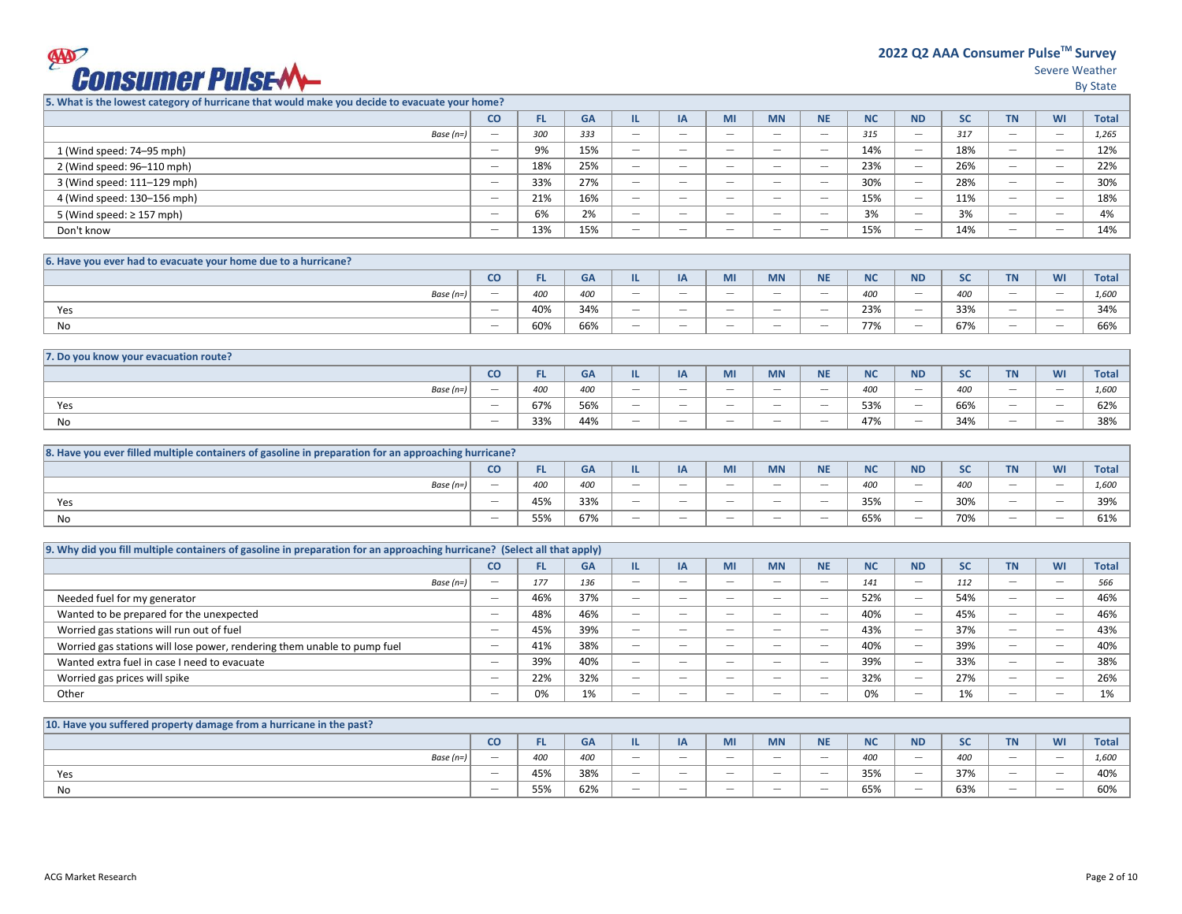## **EXPORTSUMER PUISE-MA**

Severe Weather

By State

**5. What is the lowest category of hurricane that would make you decide to evacuate your home?**

|                                | CO                                        | FL. | <b>GA</b> |                          | IA                       | MI                       | <b>MN</b>                       | <b>NE</b>                       | <b>NC</b> | <b>ND</b>                | <b>SC</b> | <b>TN</b>                       | <b>WI</b>                | <b>Total</b> |
|--------------------------------|-------------------------------------------|-----|-----------|--------------------------|--------------------------|--------------------------|---------------------------------|---------------------------------|-----------|--------------------------|-----------|---------------------------------|--------------------------|--------------|
| Base $(n=)$                    | $\qquad \qquad \overline{\qquad \qquad }$ | 300 | 333       | $\overline{\phantom{a}}$ | $\hspace{0.05cm}$        | $\hspace{0.05cm}$        | $\hspace{0.1mm}-\hspace{0.1mm}$ | $\hspace{0.1mm}-\hspace{0.1mm}$ | 315       | $\hspace{0.05cm}$        | 317       | $\hspace{0.1mm}-\hspace{0.1mm}$ | $\hspace{0.05cm}$        | 1.265        |
| 1 (Wind speed: 74-95 mph)      | $\hspace{0.05cm}$                         | 9%  | 15%       | $\overline{\phantom{a}}$ | $\hspace{0.05cm}$        | $\overline{\phantom{a}}$ | $\hspace{0.1mm}-\hspace{0.1mm}$ | $\hspace{0.1mm}-\hspace{0.1mm}$ | 14%       | $\overline{\phantom{m}}$ | 18%       | $\hspace{0.1mm}-\hspace{0.1mm}$ | $\hspace{0.05cm}$        | 12%          |
| 2 (Wind speed: 96-110 mph)     | $\hspace{0.05cm}$                         | 18% | 25%       | $\overline{\phantom{a}}$ | $\hspace{0.05cm}$        | $\hspace{0.05cm}$        | $\hspace{0.1mm}-\hspace{0.1mm}$ | $\hspace{0.1mm}-\hspace{0.1mm}$ | 23%       | $\overline{\phantom{m}}$ | 26%       | $\hspace{0.1mm}-\hspace{0.1mm}$ | $\hspace{0.05cm}$        | 22%          |
| 3 (Wind speed: 111-129 mph)    | $\hspace{0.05cm}$                         | 33% | 27%       | $\overline{\phantom{a}}$ | $\sim$                   | $\overline{\phantom{a}}$ | $\overline{\phantom{a}}$        | $\overline{\phantom{a}}$        | 30%       | $\overline{\phantom{a}}$ | 28%       | $\overline{\phantom{a}}$        | $\overline{\phantom{a}}$ | 30%          |
| 4 (Wind speed: 130-156 mph)    | $\hspace{0.05cm}$                         | 21% | 16%       | $\overline{\phantom{a}}$ | $\overline{\phantom{a}}$ | $\overline{\phantom{a}}$ | $\overline{\phantom{a}}$        | $\overline{\phantom{a}}$        | 15%       | $\overline{\phantom{a}}$ | 11%       | $\overline{\phantom{a}}$        | $\overline{\phantom{a}}$ | 18%          |
| 5 (Wind speed: $\geq$ 157 mph) | $\hspace{0.05cm}$                         | 6%  | 2%        | $\overline{\phantom{a}}$ | $\hspace{0.05cm}$        | $\hspace{0.05cm}$        | $\hspace{0.1mm}-\hspace{0.1mm}$ | $\hspace{0.1mm}-\hspace{0.1mm}$ | 3%        | $\hspace{0.05cm}$        | 3%        | $\hspace{0.1mm}-\hspace{0.1mm}$ | $\hspace{0.05cm}$        | 4%           |
| Don't know                     | $\hspace{0.05cm}$                         | 13% | 15%       | $\overline{\phantom{a}}$ | $\hspace{0.05cm}$        | $\hspace{0.05cm}$        | $\hspace{0.1mm}-\hspace{0.1mm}$ | $\hspace{0.1mm}-\hspace{0.1mm}$ | 15%       | $\hspace{0.05cm}$        | 14%       | $\hspace{0.1mm}-\hspace{0.1mm}$ | $\hspace{0.05cm}$        | 14%          |
|                                |                                           |     |           |                          |                          |                          |                                 |                                 |           |                          |           |                                 |                          |              |

| 6. Have you ever had to evacuate your home due to a hurricane? |                                 |     |           |                          |                                 |                                 |                                 |                                 |                   |                          |               |                                 |                                 |              |
|----------------------------------------------------------------|---------------------------------|-----|-----------|--------------------------|---------------------------------|---------------------------------|---------------------------------|---------------------------------|-------------------|--------------------------|---------------|---------------------------------|---------------------------------|--------------|
|                                                                | co                              | . . | <b>GA</b> |                          | $\sqrt{ }$                      | <b>IVII</b>                     | <b>MN</b>                       | <b>NE</b>                       | <b>ALC</b><br>ש   | <b>ND</b>                | $\sim$<br>JU. | $-1$                            | WI                              | <b>Total</b> |
| Base $(n=)$                                                    | $\hspace{0.1mm}-\hspace{0.1mm}$ | 400 | 400       | $\overline{\phantom{a}}$ | $\hspace{0.1mm}-\hspace{0.1mm}$ | $\hspace{0.1mm}-\hspace{0.1mm}$ | $\hspace{0.1mm}-\hspace{0.1mm}$ | $\hspace{0.1mm}-\hspace{0.1mm}$ | 400               | $\overline{\phantom{a}}$ | 400           | $\hspace{0.1mm}-\hspace{0.1mm}$ | $\hspace{0.1mm}-\hspace{0.1mm}$ | 1,600        |
| Yes                                                            | $\overline{\phantom{a}}$        | 40% | 34%       | $\overline{\phantom{a}}$ | $\sim$                          | $\sim$                          | $\overline{\phantom{a}}$        |                                 | 23%               |                          | 33%           | $\sim$                          | $\overline{\phantom{a}}$        | 34%          |
| No                                                             | $\hspace{0.1mm}-\hspace{0.1mm}$ | 60% | 66%       | $\overline{\phantom{a}}$ | $\sim$                          | $\overline{\phantom{a}}$        | $\overline{\phantom{a}}$        | $\overline{\phantom{a}}$        | 770/<br>$'$ / / ( | $\hspace{0.05cm}$        | 67%           | $\sim$                          | $\overline{\phantom{a}}$        | 66%          |

| 7. Do you know your evacuation route? |                                 |                   |     |                                 |                   |                          |                                 |                                 |           |                          |     |                                 |                                 |                      |
|---------------------------------------|---------------------------------|-------------------|-----|---------------------------------|-------------------|--------------------------|---------------------------------|---------------------------------|-----------|--------------------------|-----|---------------------------------|---------------------------------|----------------------|
|                                       | CO                              | $\sim$<br>ы<br>.c | GA  |                                 | ∽                 | wu                       | <b>MN</b>                       | <b>AIF</b><br>.                 | <b>NC</b> | <b>ND</b>                | JU. | <b>STATISTICS</b><br>.          | M <sub>1</sub><br>VV I          | <b>Total</b>         |
| Base $(n=)$                           | $\hspace{0.1mm}-\hspace{0.1mm}$ | 400               | 400 |                                 | $\hspace{0.05cm}$ |                          | $\hspace{0.1mm}-\hspace{0.1mm}$ | $\hspace{0.1mm}-\hspace{0.1mm}$ | 400       | $\overline{\phantom{a}}$ | 400 | $\hspace{0.1mm}-\hspace{0.1mm}$ | $\hspace{0.1mm}-\hspace{0.1mm}$ | 1.500<br><b>L,UU</b> |
| Yes                                   | $\hspace{0.1mm}-\hspace{0.1mm}$ | 67%               | 56% | $\hspace{0.1mm}-\hspace{0.1mm}$ | $\hspace{0.05cm}$ |                          | $\hspace{0.1mm}-\hspace{0.1mm}$ | $\hspace{0.1mm}-\hspace{0.1mm}$ | 53%       | $\overline{\phantom{a}}$ | 66% | $\hspace{0.1mm}-\hspace{0.1mm}$ |                                 | $\sim$<br>027        |
| No                                    | $\hspace{0.1mm}-\hspace{0.1mm}$ | 33%               | 44% |                                 | $\hspace{0.05cm}$ | $\overline{\phantom{a}}$ | $\hspace{0.1mm}-\hspace{0.1mm}$ | $\hspace{0.1mm}-\hspace{0.1mm}$ | 47%       | $\overline{\phantom{a}}$ | 34% | $\hspace{0.1mm}-\hspace{0.1mm}$ | $\hspace{0.1mm}-\hspace{0.1mm}$ | 38%                  |

| 8. Have you ever filled multiple containers of gasoline in preparation for an approaching hurricane? |                                 |           |           |                          |                                 |                          |                                           |           |                   |                          |                                       |                                 |           |              |
|------------------------------------------------------------------------------------------------------|---------------------------------|-----------|-----------|--------------------------|---------------------------------|--------------------------|-------------------------------------------|-----------|-------------------|--------------------------|---------------------------------------|---------------------------------|-----------|--------------|
|                                                                                                      | CO                              | <b>FL</b> | <b>GA</b> |                          | <b>DA</b><br>ır                 | MI                       | <b>MN</b>                                 | <b>NE</b> | <b>NIC</b><br>vc. | <b>ND</b>                | $\mathbf{c}$<br>$\tilde{\phantom{a}}$ | <b>TAI</b><br>                  | <b>WI</b> | <b>Total</b> |
| Base $(n=)$                                                                                          | $\hspace{0.05cm}$               | 400       | 400       | $\hspace{0.05cm}$        | $\hspace{0.1mm}-\hspace{0.1mm}$ | $\hspace{0.05cm}$        | $\qquad \qquad \overline{\qquad \qquad }$ |           | 400               |                          | 400                                   | $\hspace{0.1mm}-\hspace{0.1mm}$ |           | 1,600        |
| Yes                                                                                                  | $\hspace{0.1mm}-\hspace{0.1mm}$ | 45%       | 33%       | $\overline{\phantom{a}}$ | $\sim$                          | $\overline{\phantom{a}}$ |                                           |           | 35%               | $\overline{\phantom{a}}$ | 30%                                   | $\sim$                          |           | 39%          |
| No                                                                                                   | $\hspace{0.05cm}$               | 55%       | 67%       | $\hspace{0.05cm}$        | $\overline{\phantom{a}}$        | $\hspace{0.05cm}$        | $\qquad \qquad \overline{\qquad \qquad }$ |           | 65%               |                          | 70%                                   | $\hspace{0.1mm}-\hspace{0.1mm}$ |           | 61%          |

| [9. Why did you fill multiple containers of gasoline in preparation for an approaching hurricane? (Select all that apply) |                          |     |           |                          |                          |                          |                          |                          |           |                          |           |                                           |                          |              |
|---------------------------------------------------------------------------------------------------------------------------|--------------------------|-----|-----------|--------------------------|--------------------------|--------------------------|--------------------------|--------------------------|-----------|--------------------------|-----------|-------------------------------------------|--------------------------|--------------|
|                                                                                                                           | co                       | FL. | <b>GA</b> |                          | IA                       | MI                       | <b>MN</b>                | <b>NE</b>                | <b>NC</b> | <b>ND</b>                | <b>SC</b> | ΤN                                        | WI                       | <b>Total</b> |
| Base $(n=)$                                                                                                               |                          | 177 | 136       | $\overline{\phantom{a}}$ | $\overline{\phantom{a}}$ | $\overline{\phantom{a}}$ | $\overline{\phantom{a}}$ | $\overline{\phantom{a}}$ | 141       |                          | 112       | $\overline{\phantom{a}}$                  | -                        | 566          |
| Needed fuel for my generator                                                                                              | $\overline{\phantom{a}}$ | 46% | 37%       | $\overline{\phantom{a}}$ | $\overline{\phantom{a}}$ | $\overline{\phantom{a}}$ | $\overline{\phantom{a}}$ | $\overline{\phantom{a}}$ | 52%       | $\overline{\phantom{a}}$ | 54%       | $\overline{\phantom{a}}$                  | -                        | 46%          |
| Wanted to be prepared for the unexpected                                                                                  | $\overline{\phantom{a}}$ | 48% | 46%       | $\overline{\phantom{a}}$ | $\overline{\phantom{a}}$ | $\overline{\phantom{a}}$ | $\overline{\phantom{a}}$ | $\overline{\phantom{a}}$ | 40%       | $\overline{\phantom{a}}$ | 45%       | $\overline{\phantom{a}}$                  | -                        | 46%          |
| Worried gas stations will run out of fuel                                                                                 | $\overline{\phantom{a}}$ | 45% | 39%       | $\overline{\phantom{a}}$ | $\overline{\phantom{a}}$ | $\overline{\phantom{a}}$ | $\overline{\phantom{a}}$ | $\overline{\phantom{a}}$ | 43%       | $\overline{\phantom{a}}$ | 37%       | $\overline{\phantom{a}}$                  | -                        | 43%          |
| Worried gas stations will lose power, rendering them unable to pump fuel                                                  | $\overline{\phantom{a}}$ | 41% | 38%       | $\overline{\phantom{a}}$ | $\overline{\phantom{a}}$ | $\overline{\phantom{a}}$ | $\overline{\phantom{a}}$ | -                        | 40%       | $\hspace{0.05cm}$        | 39%       | $\overline{\phantom{a}}$                  | -                        | 40%          |
| Wanted extra fuel in case I need to evacuate                                                                              | $\hspace{0.05cm}$        | 39% | 40%       | $\overline{\phantom{a}}$ | $\overline{\phantom{a}}$ | $\overline{\phantom{a}}$ | $\overline{\phantom{a}}$ | $\overline{\phantom{a}}$ | 39%       | $\hspace{0.05cm}$        | 33%       | $\overline{\phantom{a}}$                  | $\overline{\phantom{a}}$ | 38%          |
| Worried gas prices will spike                                                                                             | $\hspace{0.05cm}$        | 22% | 32%       | $\overline{\phantom{a}}$ | $-$                      | $\overline{\phantom{a}}$ | $\overline{\phantom{a}}$ | $\overline{\phantom{a}}$ | 32%       | $\hspace{0.05cm}$        | 27%       | $\overline{\phantom{a}}$                  | -                        | 26%          |
| Other                                                                                                                     | $\hspace{0.05cm}$        | 0%  | 1%        | $\overline{\phantom{a}}$ | $\overline{\phantom{a}}$ | $\overline{\phantom{a}}$ | $\overline{\phantom{a}}$ | -                        | 0%        | $\hspace{0.05cm}$        | 1%        | $\qquad \qquad \overline{\qquad \qquad }$ | -                        | 1%           |

| 10. Have you suffered property damage from a hurricane in the past? |    |     |           |                          |                  |                                 |                                 |                          |                 |                   |           |                                 |                                 |              |
|---------------------------------------------------------------------|----|-----|-----------|--------------------------|------------------|---------------------------------|---------------------------------|--------------------------|-----------------|-------------------|-----------|---------------------------------|---------------------------------|--------------|
|                                                                     | co |     | <b>GA</b> |                          | ΙA               | MI                              | <b>MN</b>                       | <b>NE</b>                | <b>ALC</b><br>w | <b>ND</b>         | <b>SC</b> | <b>TM</b><br>$\mathbf{H}$       | M1<br><b>VVI</b>                | <b>Total</b> |
| Base (n=)                                                           |    | 400 | 400       |                          | $\hspace{0.5cm}$ | $\hspace{0.1mm}-\hspace{0.1mm}$ | $\hspace{0.1mm}-\hspace{0.1mm}$ |                          | 400             | $\hspace{0.05cm}$ | 400       | $\hspace{0.1mm}-\hspace{0.1mm}$ | $\hspace{0.1mm}-\hspace{0.1mm}$ | 1,600        |
| Yes                                                                 |    | 45% | 38%       |                          | $- -$            |                                 | $\hspace{0.1mm}-\hspace{0.1mm}$ | $\overline{\phantom{a}}$ | 35%             | $\hspace{0.05cm}$ | 37%       | $\hspace{0.1mm}-\hspace{0.1mm}$ |                                 | 40%          |
| No                                                                  |    | 55% | 62%       | $\overline{\phantom{a}}$ | $- -$            | $\hspace{0.1mm}-\hspace{0.1mm}$ | $\hspace{0.1mm}-\hspace{0.1mm}$ |                          | 65%             | $\hspace{0.05cm}$ | 63%       | $\hspace{0.1mm}-\hspace{0.1mm}$ | $\hspace{0.1mm}-\hspace{0.1mm}$ | 60%          |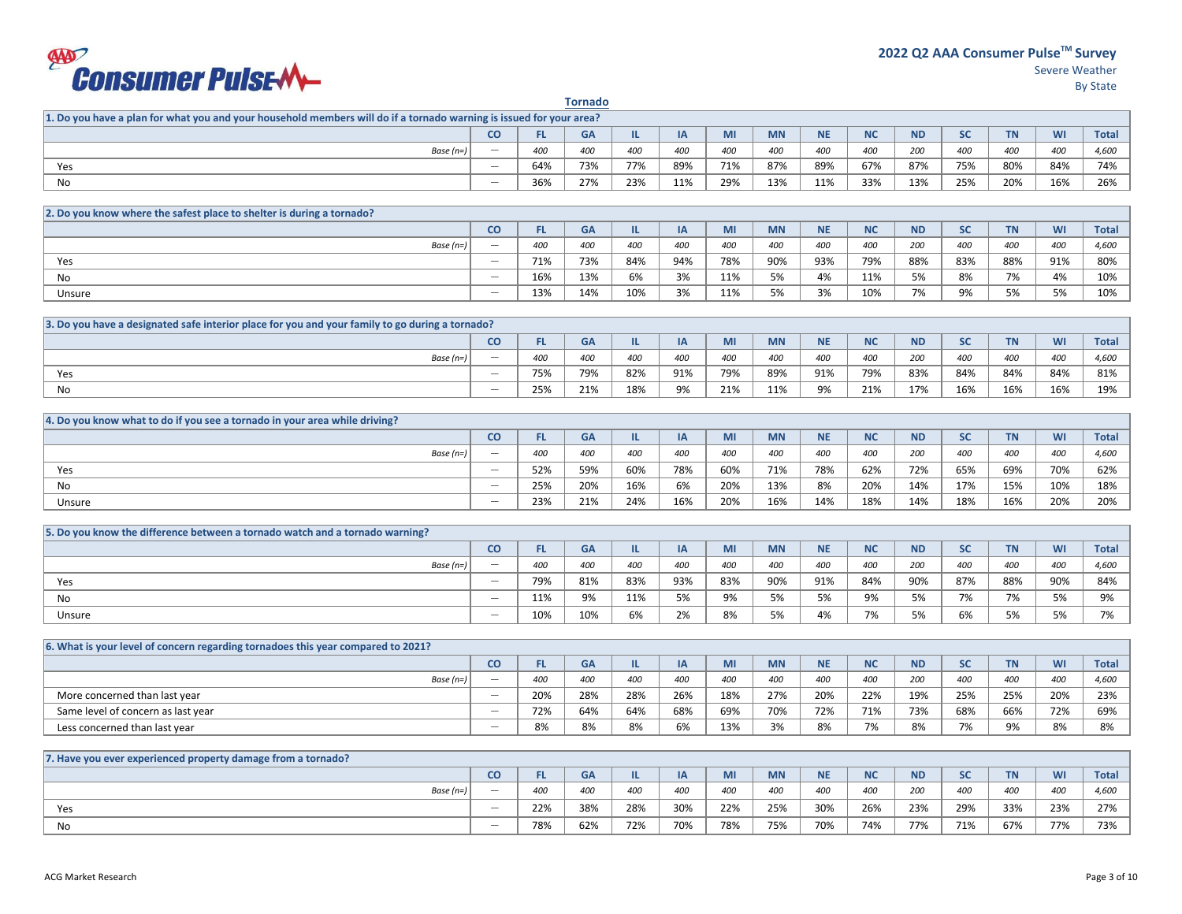## **EXPORTSUMER PUISEM**

|                                                                                                                     |                          |     | <b>Tornado</b> |     |           |     |           |           |           |           |           |           |           |              |
|---------------------------------------------------------------------------------------------------------------------|--------------------------|-----|----------------|-----|-----------|-----|-----------|-----------|-----------|-----------|-----------|-----------|-----------|--------------|
| 1. Do you have a plan for what you and your household members will do if a tornado warning is issued for your area? |                          |     |                |     |           |     |           |           |           |           |           |           |           |              |
|                                                                                                                     | <b>CO</b>                | FL. | <b>GA</b>      | IL. | IA        | MI  | <b>MN</b> | <b>NE</b> | <b>NC</b> | <b>ND</b> | <b>SC</b> | <b>TN</b> | WI        | <b>Total</b> |
| Base $(n=)$                                                                                                         | $\overline{\phantom{m}}$ | 400 | 400            | 400 | 400       | 400 | 400       | 400       | 400       | 200       | 400       | 400       | 400       | 4,600        |
| Yes                                                                                                                 | $\overline{\phantom{0}}$ | 64% | 73%            | 77% | 89%       | 71% | 87%       | 89%       | 67%       | 87%       | 75%       | 80%       | 84%       | 74%          |
| No                                                                                                                  | $\overline{\phantom{0}}$ | 36% | 27%            | 23% | 11%       | 29% | 13%       | 11%       | 33%       | 13%       | 25%       | 20%       | 16%       | 26%          |
|                                                                                                                     |                          |     |                |     |           |     |           |           |           |           |           |           |           |              |
| 2. Do you know where the safest place to shelter is during a tornado?                                               |                          |     |                |     |           |     |           |           |           |           |           |           |           |              |
|                                                                                                                     | <b>CO</b>                | FL. | <b>GA</b>      | IL. | <b>IA</b> | MI  | <b>MN</b> | <b>NE</b> | <b>NC</b> | <b>ND</b> | <b>SC</b> | <b>TN</b> | <b>WI</b> | <b>Total</b> |
| Base $(n=)$                                                                                                         | $\overline{\phantom{m}}$ | 400 | 400            | 400 | 400       | 400 | 400       | 400       | 400       | 200       | 400       | 400       | 400       | 4,600        |
| Yes                                                                                                                 | $\overline{\phantom{0}}$ | 71% | 73%            | 84% | 94%       | 78% | 90%       | 93%       | 79%       | 88%       | 83%       | 88%       | 91%       | 80%          |
| No                                                                                                                  | $\overline{\phantom{0}}$ | 16% | 13%            | 6%  | 3%        | 11% | 5%        | 4%        | 11%       | 5%        | 8%        | 7%        | 4%        | 10%          |
| Unsure                                                                                                              | $\overline{\phantom{0}}$ | 13% | 14%            | 10% | 3%        | 11% | 5%        | 3%        | 10%       | 7%        | 9%        | 5%        | 5%        | 10%          |
|                                                                                                                     |                          |     |                |     |           |     |           |           |           |           |           |           |           |              |
| 3. Do you have a designated safe interior place for you and your family to go during a tornado?                     |                          |     |                |     |           |     |           |           |           |           |           |           |           |              |
|                                                                                                                     | <b>CO</b>                | FL. | <b>GA</b>      | IL. | IA        | MI  | <b>MN</b> | <b>NE</b> | <b>NC</b> | <b>ND</b> | <b>SC</b> | <b>TN</b> | <b>WI</b> | <b>Total</b> |
| Base $(n=)$                                                                                                         | $\overline{\phantom{m}}$ | 400 | 400            | 400 | 400       | 400 | 400       | 400       | 400       | 200       | 400       | 400       | 400       | 4,600        |
| Yes                                                                                                                 | $\overline{\phantom{m}}$ | 75% | 79%            | 82% | 91%       | 79% | 89%       | 91%       | 79%       | 83%       | 84%       | 84%       | 84%       | 81%          |
| No                                                                                                                  |                          | 25% | 21%            | 18% | 9%        | 21% | 11%       | 9%        | 21%       | 17%       | 16%       | 16%       | 16%       | 19%          |
|                                                                                                                     |                          |     |                |     |           |     |           |           |           |           |           |           |           |              |
| 4. Do you know what to do if you see a tornado in your area while driving?                                          |                          |     |                |     |           |     |           |           |           |           |           |           |           |              |
|                                                                                                                     | <b>CO</b>                | FL. | <b>GA</b>      | IL. | <b>IA</b> | MI  | <b>MN</b> | <b>NE</b> | <b>NC</b> | <b>ND</b> | <b>SC</b> | <b>TN</b> | <b>WI</b> | <b>Total</b> |
| Base $(n=)$                                                                                                         | $\overline{\phantom{m}}$ | 400 | 400            | 400 | 400       | 400 | 400       | 400       | 400       | 200       | 400       | 400       | 400       | 4,600        |
| Yes                                                                                                                 | $\overline{\phantom{0}}$ | 52% | 59%            | 60% | 78%       | 60% | 71%       | 78%       | 62%       | 72%       | 65%       | 69%       | 70%       | 62%          |
| <b>No</b>                                                                                                           | $\overline{\phantom{0}}$ | 25% | 20%            | 16% | 6%        | 20% | 13%       | 8%        | 20%       | 14%       | 17%       | 15%       | 10%       | 18%          |
| Unsure                                                                                                              | $\overline{\phantom{0}}$ | 23% | 21%            | 24% | 16%       | 20% | 16%       | 14%       | 18%       | 14%       | 18%       | 16%       | 20%       | 20%          |
|                                                                                                                     |                          |     |                |     |           |     |           |           |           |           |           |           |           |              |
| 5. Do you know the difference between a tornado watch and a tornado warning?                                        |                          |     |                |     |           |     |           |           |           |           |           |           |           |              |
|                                                                                                                     | <b>CO</b>                | FL. | <b>GA</b>      | IL. | IA        | MI  | <b>MN</b> | <b>NE</b> | <b>NC</b> | <b>ND</b> | <b>SC</b> | <b>TN</b> | WI        | <b>Total</b> |
| Base $(n=)$                                                                                                         | $\overline{\phantom{m}}$ | 400 | 400            | 400 | 400       | 400 | 400       | 400       | 400       | 200       | 400       | 400       | 400       | 4,600        |
| Yes                                                                                                                 | $\overline{\phantom{0}}$ | 79% | 81%            | 83% | 93%       | 83% | 90%       | 91%       | 84%       | 90%       | 87%       | 88%       | 90%       | 84%          |
| No                                                                                                                  | $\overline{\phantom{0}}$ | 11% | 9%             | 11% | 5%        | 9%  | 5%        | 5%        | 9%        | 5%        | 7%        | 7%        | 5%        | 9%           |
| Unsure                                                                                                              | $\overline{\phantom{0}}$ | 10% | 10%            | 6%  | 2%        | 8%  | 5%        | 4%        | 7%        | 5%        | 6%        | 5%        | 5%        | 7%           |
|                                                                                                                     |                          |     |                |     |           |     |           |           |           |           |           |           |           |              |
| 6. What is your level of concern regarding tornadoes this year compared to 2021?                                    |                          |     |                |     |           |     |           |           |           |           |           |           |           |              |
|                                                                                                                     | <b>CO</b>                | FL. | <b>GA</b>      | IL. | IA        | MI  | <b>MN</b> | <b>NE</b> | <b>NC</b> | <b>ND</b> | <b>SC</b> | <b>TN</b> | WI        | <b>Total</b> |
| Base $(n=)$                                                                                                         | $\overline{\phantom{0}}$ | 400 | 400            | 400 | 400       | 400 | 400       | 400       | 400       | 200       | 400       | 400       | 400       | 4,600        |
| More concerned than last year                                                                                       | $\overline{\phantom{0}}$ | 20% | 28%            | 28% | 26%       | 18% | 27%       | 20%       | 22%       | 19%       | 25%       | 25%       | 20%       | 23%          |
| Same level of concern as last year                                                                                  |                          | 72% | 64%            | 64% | 68%       | 69% | 70%       | 72%       | 71%       | 73%       | 68%       | 66%       | 72%       | 69%          |
| Less concerned than last year                                                                                       |                          | 8%  | 8%             | 8%  | 6%        | 13% | 3%        | 8%        | 7%        | 8%        | 7%        | 9%        | 8%        | 8%           |
|                                                                                                                     |                          |     |                |     |           |     |           |           |           |           |           |           |           |              |
| 7. Have you ever experienced property damage from a tornado?                                                        |                          |     |                |     |           |     |           |           |           |           |           |           |           |              |
|                                                                                                                     | <b>CO</b>                | FL. | <b>GA</b>      | IL. | IA        | MI  | <b>MN</b> | <b>NE</b> | <b>NC</b> | <b>ND</b> | <b>SC</b> | <b>TN</b> | WI        | <b>Total</b> |
| Base $(n=)$                                                                                                         | $\overline{\phantom{m}}$ | 400 | 400            | 400 | 400       | 400 | 400       | 400       | 400       | 200       | 400       | 400       | 400       | 4,600        |
|                                                                                                                     |                          |     |                |     |           |     |           |           |           |           |           |           |           |              |

No \_\_ 78% 62% 72% 70% 78% 75% 70% 74% 77% 71% 67% 77% 73%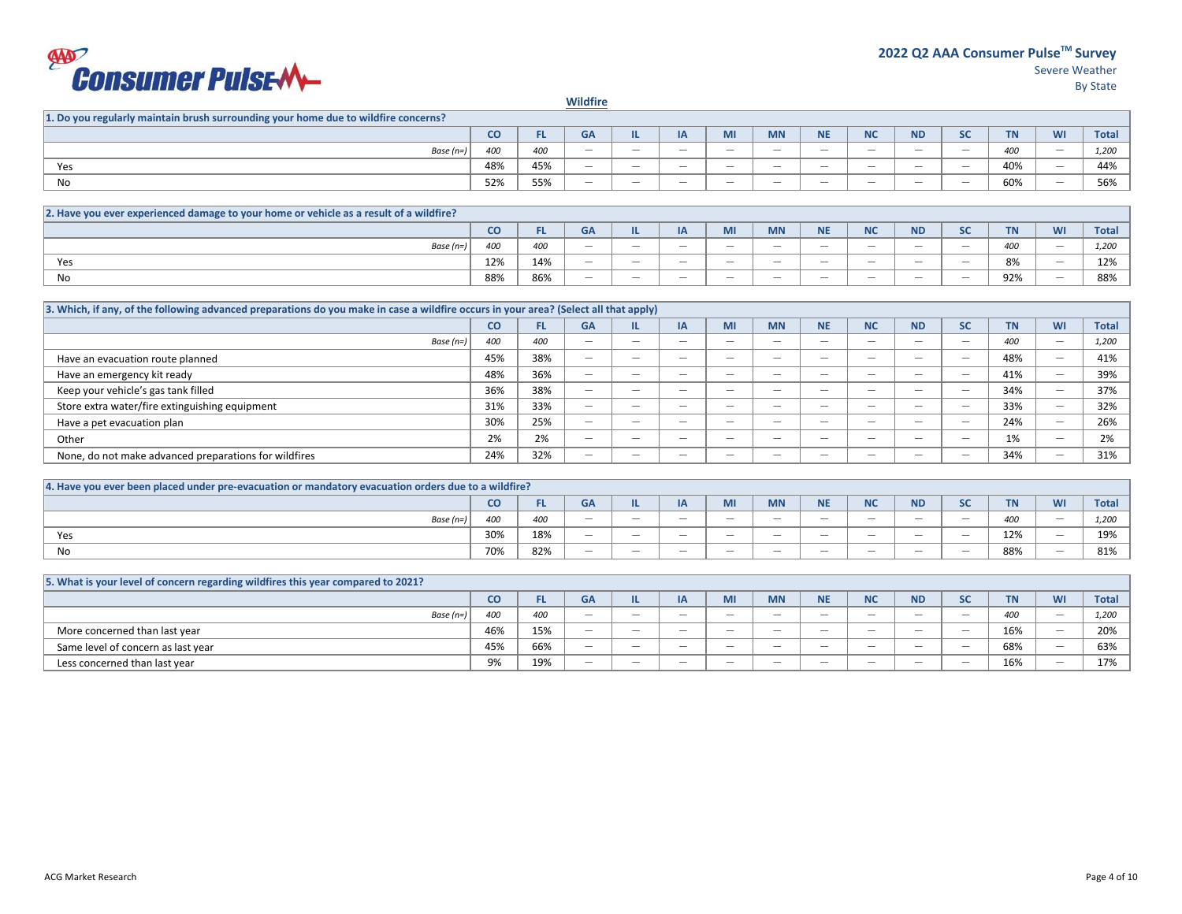## **EXAMPLE 2011SEM**

Severe Weather **2022 Q2 AAA Consumer PulseTM Survey** 

By State

**Wildfire**

| 1. Do you regularly maintain brush surrounding your home due to wildfire concerns? |     |     |                                 |                                 |                                 |                                 |                                 |                                 |                   |                   |                                           |                     |                                           |             |
|------------------------------------------------------------------------------------|-----|-----|---------------------------------|---------------------------------|---------------------------------|---------------------------------|---------------------------------|---------------------------------|-------------------|-------------------|-------------------------------------------|---------------------|-------------------------------------------|-------------|
|                                                                                    | co  | . . | GA                              |                                 | ட                               | MI                              | <b>MN</b>                       | <b>NE</b>                       | <b>NIC</b><br>IVC | <b>ND</b>         | -                                         | <b>TAL</b><br>4 IV. | <b>WI</b>                                 | <b>Tota</b> |
| Base $(n=)$                                                                        | 40C | 400 | $\hspace{0.1mm}-\hspace{0.1mm}$ | $\hspace{0.1mm}-\hspace{0.1mm}$ | $\hspace{0.1mm}-\hspace{0.1mm}$ | $\hspace{0.1mm}-\hspace{0.1mm}$ | $\hspace{0.05cm}$               | $\hspace{0.1mm}-\hspace{0.1mm}$ | $\hspace{0.05cm}$ | $\hspace{0.05cm}$ | $\qquad \qquad \overline{\qquad \qquad }$ | 400                 | $\qquad \qquad \overline{\qquad \qquad }$ | 1,200       |
| Yes                                                                                | 48% | 45% |                                 | $\hspace{0.1mm}-\hspace{0.1mm}$ | $\hspace{0.1mm}-\hspace{0.1mm}$ | $\hspace{0.1mm}-\hspace{0.1mm}$ | $\hspace{0.1mm}-\hspace{0.1mm}$ | $\hspace{0.1mm}-\hspace{0.1mm}$ | $\hspace{0.05cm}$ | $\hspace{0.05cm}$ | $\qquad \qquad \overline{\qquad \qquad }$ | 0.001<br>40%        | $\qquad \qquad \overline{\qquad \qquad }$ | 44%         |
| No                                                                                 | 52% | 55% |                                 | $\hspace{0.1mm}-\hspace{0.1mm}$ | $\hspace{0.1mm}-\hspace{0.1mm}$ | $\hspace{0.1mm}-\hspace{0.1mm}$ | $\hspace{0.05cm}$               | $\hspace{0.1mm}-\hspace{0.1mm}$ | $\hspace{0.05cm}$ | $\hspace{0.05cm}$ | $\qquad \qquad \overline{\qquad \qquad }$ | 60%                 | $\qquad \qquad \overline{\qquad \qquad }$ | 56%         |

| 2. Have you ever experienced damage to your home or vehicle as a result of a wildfire? |     |     |                                           |                                 |     |                                 |                                 |                                 |                          |                          |                          |                         |                   |              |
|----------------------------------------------------------------------------------------|-----|-----|-------------------------------------------|---------------------------------|-----|---------------------------------|---------------------------------|---------------------------------|--------------------------|--------------------------|--------------------------|-------------------------|-------------------|--------------|
|                                                                                        | CO. |     | GA                                        | . .                             | ın  | IVII                            | <b>MN</b>                       | <b>AIF</b><br>IVE               | <b>NIC</b><br>יי         | <b>ND</b>                | $\sim$<br>-              | <b>TN</b>               | $1$<br><b>VVI</b> | <b>Total</b> |
| Base (n=)                                                                              |     | 400 | $\hspace{0.1mm}-\hspace{0.1mm}$           | $\hspace{0.1mm}-\hspace{0.1mm}$ | $-$ | $\hspace{0.1mm}-\hspace{0.1mm}$ | $\hspace{0.1mm}-\hspace{0.1mm}$ | $\hspace{0.1mm}-\hspace{0.1mm}$ |                          | $\overline{\phantom{a}}$ | $\hspace{0.05cm}$        | $\overline{100}$<br>400 |                   | 1.200        |
| Yes                                                                                    | 12% | 14% | $\qquad \qquad \overline{\qquad \qquad }$ |                                 | $-$ |                                 | $\hspace{0.1mm}-\hspace{0.1mm}$ |                                 |                          | $\overline{\phantom{a}}$ | $\hspace{0.05cm}$        | 0 <sup>0</sup><br>O70   |                   | 12%          |
| No                                                                                     | 88% | 86% | $\overline{\phantom{a}}$                  | $\overline{\phantom{a}}$        | $-$ | $\overline{\phantom{a}}$        | $\overline{\phantom{a}}$        | $\overline{\phantom{a}}$        | $\overline{\phantom{a}}$ | $\overline{\phantom{a}}$ | $\overline{\phantom{a}}$ | 92%                     | $-$               | 88%          |

| 3. Which, if any, of the following advanced preparations do you make in case a wildfire occurs in your area? (Select all that apply) |           |     |                                 |                          |                          |                                           |                          |                          |                          |                          |                          |           |    |              |
|--------------------------------------------------------------------------------------------------------------------------------------|-----------|-----|---------------------------------|--------------------------|--------------------------|-------------------------------------------|--------------------------|--------------------------|--------------------------|--------------------------|--------------------------|-----------|----|--------------|
|                                                                                                                                      | <b>CO</b> | FL. | <b>GA</b>                       |                          | IA                       | MI                                        | <b>MN</b>                | <b>NE</b>                | <b>NC</b>                | <b>ND</b>                | <b>SC</b>                | <b>TN</b> | WI | <b>Total</b> |
| Base $(n=)$                                                                                                                          | 400       | 400 | $\hspace{0.1mm}-\hspace{0.1mm}$ | $\overline{\phantom{a}}$ | $\hspace{0.05cm}$        | $\qquad \qquad \overline{\qquad \qquad }$ |                          | -                        | $\overline{\phantom{a}}$ | $\hspace{0.05cm}$        | $\hspace{0.05cm}$        | 400       |    | 1,200        |
| Have an evacuation route planned                                                                                                     | 45%       | 38% | $\qquad \qquad$                 | $\overline{\phantom{a}}$ | $\overline{\phantom{a}}$ | $\overline{\phantom{a}}$                  | $\overline{\phantom{a}}$ | -                        | $\overline{\phantom{a}}$ | $\overline{\phantom{a}}$ | $\hspace{0.05cm}$        | 48%       |    | 41%          |
| Have an emergency kit ready                                                                                                          | 48%       | 36% | $\qquad \qquad$                 | $\overline{\phantom{a}}$ | $\hspace{0.05cm}$        | $\qquad \qquad \overline{\qquad \qquad }$ |                          | -                        | $\overline{\phantom{a}}$ | $\hspace{0.05cm}$        | $\hspace{0.05cm}$        | 41%       |    | 39%          |
| Keep your vehicle's gas tank filled                                                                                                  | 36%       | 38% | $\overline{\phantom{a}}$        | $\overline{\phantom{a}}$ | $\overline{\phantom{a}}$ | $\overline{\phantom{a}}$                  | $\overline{\phantom{a}}$ | $\overline{\phantom{a}}$ | $\overline{\phantom{a}}$ | $\overline{\phantom{a}}$ | $\overline{\phantom{a}}$ | 34%       | -  | 37%          |
| Store extra water/fire extinguishing equipment                                                                                       | 31%       | 33% | $\hspace{0.1mm}-\hspace{0.1mm}$ | $\overline{\phantom{a}}$ | $\overline{\phantom{a}}$ | $\overline{\phantom{a}}$                  | $\overline{\phantom{a}}$ | $\overline{\phantom{a}}$ | $\overline{\phantom{a}}$ | $\overline{\phantom{a}}$ | $\overline{\phantom{a}}$ | 33%       |    | 32%          |
| Have a pet evacuation plan                                                                                                           | 30%       | 25% | $\overline{\phantom{a}}$        | $\overline{\phantom{a}}$ | $\overline{\phantom{a}}$ | $\overline{\phantom{a}}$                  | $\overline{\phantom{a}}$ | $\overline{\phantom{a}}$ | $\overline{\phantom{a}}$ | $\overline{\phantom{a}}$ | $\overline{\phantom{a}}$ | 24%       |    | 26%          |
| Other                                                                                                                                | 2%        | 2%  | $\hspace{0.1mm}-\hspace{0.1mm}$ | $\hspace{0.05cm}$        | $\hspace{0.05cm}$        | $\hspace{0.1mm}-\hspace{0.1mm}$           |                          | $\hspace{0.05cm}$        | $\overline{\phantom{a}}$ | $\hspace{0.05cm}$        | $\hspace{0.05cm}$        | 1%        |    | 2%           |
| None, do not make advanced preparations for wildfires                                                                                | 24%       | 32% | $\qquad \qquad$                 | $\overline{\phantom{a}}$ | $-$                      | $\overline{\phantom{a}}$                  | $\overline{\phantom{a}}$ | $\overline{\phantom{a}}$ | $\overline{\phantom{a}}$ | $\overline{\phantom{a}}$ | $\sim$                   | 34%       |    | 31%          |

| [4. Have you ever been placed under pre-evacuation or mandatory evacuation orders due to a wildfire? |     |           |                          |                                 |                                 |                          |                                 |                          |                          |                          |                                 |                       |           |              |
|------------------------------------------------------------------------------------------------------|-----|-----------|--------------------------|---------------------------------|---------------------------------|--------------------------|---------------------------------|--------------------------|--------------------------|--------------------------|---------------------------------|-----------------------|-----------|--------------|
|                                                                                                      | CO  | <b>FL</b> | <b>GA</b>                |                                 | <b>DA</b><br>ır                 | <b>IVII</b>              | <b>MN</b>                       | <b>NE</b>                | <b>N<sub>C</sub></b>     | <b>ND</b>                | $\tilde{\phantom{a}}$           | <b>TEA</b>            | <b>WI</b> | <b>Total</b> |
| Base $(n=)$                                                                                          | 400 | 400       | $\overline{\phantom{a}}$ | $\overline{\phantom{a}}$        | $\sim$                          | $\overline{\phantom{a}}$ | $\overline{\phantom{a}}$        | $\overline{\phantom{a}}$ | $\overline{\phantom{a}}$ | $\overline{\phantom{a}}$ | $-$                             | 0 <sup>0</sup><br>400 |           | 1.200        |
| Yes                                                                                                  | 30% | 18%       | $\hspace{0.05cm}$        | $\hspace{0.1mm}-\hspace{0.1mm}$ | $\hspace{0.1mm}-\hspace{0.1mm}$ | $\hspace{0.05cm}$        | $\hspace{0.1mm}-\hspace{0.1mm}$ |                          |                          |                          | $\hspace{0.5cm}$                | 120<br>12%            |           | 19%          |
| No                                                                                                   | 70% | 82%       | $\overline{\phantom{a}}$ | $\overline{\phantom{a}}$        | $\sim$                          | $\overline{\phantom{a}}$ |                                 | $\overline{\phantom{a}}$ | $\overline{\phantom{a}}$ | $\overline{\phantom{a}}$ | $\hspace{0.1mm}-\hspace{0.1mm}$ | 88%                   |           | 81%          |

| 5. What is your level of concern regarding wildfires this year compared to 2021? |     |     |                          |                          |                  |                                 |                          |                          |                          |                                 |                          |           |                                 |              |
|----------------------------------------------------------------------------------|-----|-----|--------------------------|--------------------------|------------------|---------------------------------|--------------------------|--------------------------|--------------------------|---------------------------------|--------------------------|-----------|---------------------------------|--------------|
|                                                                                  | CO  |     | GΑ                       |                          |                  | <b>IVII</b>                     | <b>MN</b>                | <b>NE</b>                | <b>N<sub>C</sub></b>     | <b>ND</b>                       | <b>SC</b>                | <b>TN</b> | WI                              | <b>Total</b> |
| Base $(n=)$                                                                      | 400 | 400 | $\overline{\phantom{a}}$ |                          | $\hspace{0.5cm}$ | $\hspace{0.1mm}-\hspace{0.1mm}$ | $\overline{\phantom{a}}$ |                          | $\hspace{0.05cm}$        | $\hspace{0.1mm}-\hspace{0.1mm}$ | $\hspace{0.05cm}$        | 400       | $\hspace{0.1mm}-\hspace{0.1mm}$ | 1,200        |
| More concerned than last year                                                    | 46% | 15% | $\overline{\phantom{a}}$ | -                        | $\sim$           | $\sim$                          | $\overline{\phantom{a}}$ | $\overline{\phantom{a}}$ | $\overline{\phantom{a}}$ | $\overline{\phantom{a}}$        | $\sim$                   | 16%       | $\overline{\phantom{a}}$        | 20%          |
| Same level of concern as last year                                               | 45% | 66% | $\overline{\phantom{a}}$ | $\hspace{0.05cm}$        | $\hspace{0.5cm}$ | $\hspace{0.1mm}-\hspace{0.1mm}$ | $\overline{\phantom{a}}$ | $\hspace{0.05cm}$        | $\hspace{0.05cm}$        | $\hspace{0.1mm}-\hspace{0.1mm}$ | $\overline{\phantom{a}}$ | 68%       | $\qquad \qquad$                 | 63%          |
| Less concerned than last year                                                    | 9%  | 19% | $\overline{\phantom{a}}$ | $\overline{\phantom{a}}$ | $\sim$           | $\overline{\phantom{a}}$        | $\overline{\phantom{a}}$ | $\hspace{0.05cm}$        | $\overline{\phantom{a}}$ | $\hspace{0.1mm}-\hspace{0.1mm}$ | $\sim$                   | 16%       | $\overline{\phantom{a}}$        | 17%          |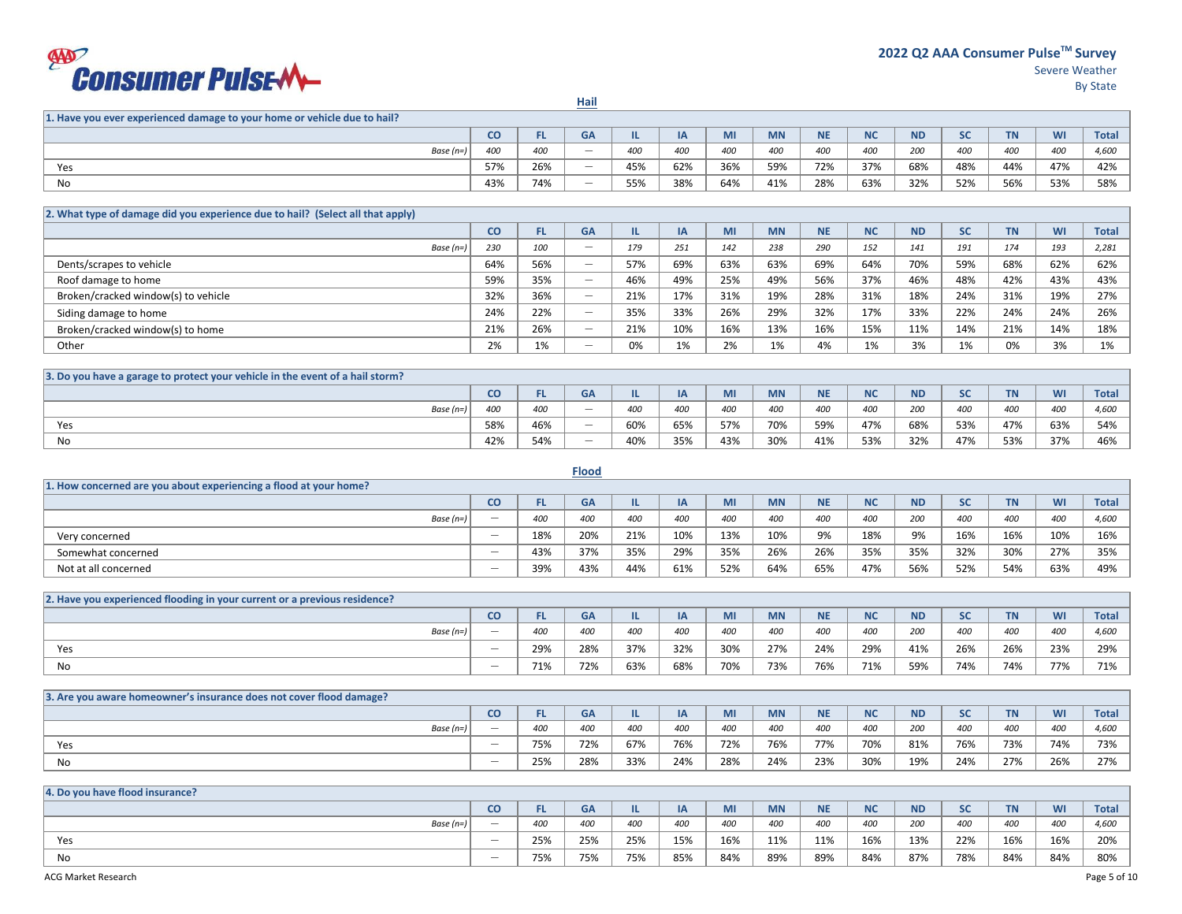## **EXPORTSUMER PUISEMLE**

**Hail**

| 1. Have you ever experienced damage to your home or vehicle due to hail? |           |     |                          |     |     |     |           |           |           |           |            |           |           |              |
|--------------------------------------------------------------------------|-----------|-----|--------------------------|-----|-----|-----|-----------|-----------|-----------|-----------|------------|-----------|-----------|--------------|
|                                                                          | <b>CO</b> |     | GA                       | ـ   | IA  | MI  | <b>MN</b> | <b>NE</b> | <b>NC</b> | <b>ND</b> | $\epsilon$ | <b>TN</b> | <b>WI</b> | <b>Total</b> |
| Base (n=)                                                                | 400       | 400 | $\overline{\phantom{a}}$ | 400 | 400 | 400 | 400       | 400       | 400       | 200       | 400        | 400       | 400       | 4,600        |
| Yes                                                                      | 57%       | 26% | $\overline{\phantom{a}}$ | 45% | 62% | 36% | 59%       | 72%       | 37%       | 68%       | 48%        | 44%       | 47%       | 42%          |
| No                                                                       | 43%       | 74% | $\overline{\phantom{a}}$ | 55% | 38% | 64% | 41%       | 28%       | 63%       | 32%       | 52%        | 56%       | 53%       | 58%          |

| [2. What type of damage did you experience due to hail? (Select all that apply) |     |     |                          |     |     |     |           |           |           |           |           |           |     |              |
|---------------------------------------------------------------------------------|-----|-----|--------------------------|-----|-----|-----|-----------|-----------|-----------|-----------|-----------|-----------|-----|--------------|
|                                                                                 | CO  | FL. | <b>GA</b>                |     | ΙA  | MI  | <b>MN</b> | <b>NE</b> | <b>NC</b> | <b>ND</b> | <b>SC</b> | <b>TN</b> | WI  | <b>Total</b> |
| Base $(n=)$                                                                     | 230 | 100 | $\qquad \qquad$          | 179 | 251 | 142 | 238       | 290       | 152       | 141       | 191       | 174       | 193 | 2,281        |
| Dents/scrapes to vehicle                                                        | 64% | 56% | $\qquad \qquad$          | 57% | 69% | 63% | 63%       | 69%       | 64%       | 70%       | 59%       | 68%       | 62% | 62%          |
| Roof damage to home                                                             | 59% | 35% | $\qquad \qquad$          | 46% | 49% | 25% | 49%       | 56%       | 37%       | 46%       | 48%       | 42%       | 43% | 43%          |
| Broken/cracked window(s) to vehicle                                             | 32% | 36% | $\overline{\phantom{a}}$ | 21% | 17% | 31% | 19%       | 28%       | 31%       | 18%       | 24%       | 31%       | 19% | 27%          |
| Siding damage to home                                                           | 24% | 22% | $\qquad \qquad$          | 35% | 33% | 26% | 29%       | 32%       | 17%       | 33%       | 22%       | 24%       | 24% | 26%          |
| Broken/cracked window(s) to home                                                | 21% | 26% | $\qquad \qquad$          | 21% | 10% | 16% | 13%       | 16%       | 15%       | 11%       | 14%       | 21%       | 14% | 18%          |
| Other                                                                           | 2%  | 1%  | $\overline{\phantom{a}}$ | 0%  | 1%  | 2%  | 1%        | 4%        | 1%        | 3%        | 1%        | 0%        | 3%  | 1%           |

| 3. Do you have a garage to protect your vehicle in the event of a hail storm? |     |           |                   |       |     |     |           |           |           |           |                     |           |     |              |
|-------------------------------------------------------------------------------|-----|-----------|-------------------|-------|-----|-----|-----------|-----------|-----------|-----------|---------------------|-----------|-----|--------------|
|                                                                               | CO  | <b>FL</b> | GA                |       | IA  | MI  | <b>MN</b> | <b>NE</b> | <b>NC</b> | <b>ND</b> | $\mathbf{c}$<br>JU. | <b>TN</b> | WI  | <b>Total</b> |
| Base (n=)                                                                     | 400 | 400       | $\hspace{0.05cm}$ | 400   | 400 | 400 | 400       | 400       | 400       | 200       | 400                 | 400       | 400 | 4,600        |
| Yes                                                                           | 58% | 46%       | $\hspace{0.05cm}$ | 60%   | 65% | 57% | 70%       | 59%       | 47%       | 68%       | 53%                 | 47%       | 63% | 54%          |
| No                                                                            | 42% | 54%       | $\hspace{0.05cm}$ | 0.001 | 35% | 43% | 30%       | 41%       | 53%       | 32%       | 47%                 | 53%       | 37% | 46%          |

|                                                                   |                          |     | <b>Flood</b> |     |     |     |           |     |           |           |           |           |     |       |
|-------------------------------------------------------------------|--------------------------|-----|--------------|-----|-----|-----|-----------|-----|-----------|-----------|-----------|-----------|-----|-------|
| 1. How concerned are you about experiencing a flood at your home? |                          |     |              |     |     |     |           |     |           |           |           |           |     |       |
|                                                                   | CO                       | FL. | GA           |     | IA  | MI  | <b>MN</b> | NE. | <b>NC</b> | <b>ND</b> | <b>SC</b> | <b>TN</b> | WI  | Total |
| Base $(n=)$                                                       | $\hspace{0.05cm}$        | 400 | 400          | 400 | 400 | 400 | 400       | 400 | 400       | 200       | 400       | 400       | 400 | 4.600 |
| Very concerned                                                    | $\hspace{0.05cm}$        | 18% | 20%          | 21% | 10% | 13% | 10%       | 9%  | 18%       | 9%        | 16%       | 16%       | 10% | 16%   |
| Somewhat concerned                                                | $\hspace{0.05cm}$        | 43% | 37%          | 35% | 29% | 35% | 26%       | 26% | 35%       | 35%       | 32%       | 30%       | 27% | 35%   |
| Not at all concerned                                              | $\overline{\phantom{a}}$ | 39% | 43%          | 44% | 61% | 52% | 64%       | 65% | 47%       | 56%       | 52%       | 54%       | 63% | 49%   |

| 2. Have you experienced flooding in your current or a previous residence? |                                 |     |     |     |            |             |            |           |             |           |                      |     |           |              |
|---------------------------------------------------------------------------|---------------------------------|-----|-----|-----|------------|-------------|------------|-----------|-------------|-----------|----------------------|-----|-----------|--------------|
|                                                                           | co                              |     | GA  |     | $\sqrt{ }$ | <b>IVII</b> | <b>MN</b>  | <b>NE</b> | B1C<br>IVL  | <b>ND</b> | $\sim$<br>$\tilde{}$ |     | <b>WI</b> | <b>Total</b> |
| Base (n=)                                                                 | $\hspace{0.1mm}-\hspace{0.1mm}$ | 400 | 400 | 400 | 400        | 400         | <b>400</b> | 400       | 400         | 200       | 400                  | 40C | 400       | 4,600        |
| Yes                                                                       | $\overline{\phantom{a}}$        | 29% | 28% | 37% | 32%        | 30%         | 27%        | 24%       | 29%         | 41%       | 26%                  | 26% | 23%       | 29%          |
| No                                                                        | $\overline{\phantom{a}}$        | 71% | 72% | 63% | 68%        | 70%         | 73%        | 76%       | 71%<br>، 17 | 59%       | 74%                  | 74% | 77%       | 71%          |

| 3. Are you aware homeowner's insurance does not cover flood damage? |                                           |     |     |     |     |     |           |                  |     |           |     |                 |            |              |
|---------------------------------------------------------------------|-------------------------------------------|-----|-----|-----|-----|-----|-----------|------------------|-----|-----------|-----|-----------------|------------|--------------|
|                                                                     | co                                        |     | GA  |     |     | MI  | <b>MN</b> | <b>NE</b>        |     | <b>ND</b> |     | <b>TAI</b><br>. | ML<br>VV I | <b>Total</b> |
| Base $(n=)$                                                         | $\qquad \qquad \overline{\qquad \qquad }$ | 400 | 400 | 400 | 400 | 400 | 400       | 400              | 400 | 200       | 400 | 400             | 400        | 4,600        |
| Yes                                                                 | $\qquad \qquad \overline{\qquad \qquad }$ | 75% | 72% | 67% | 76% | 72% | 76%       | 77%<br><i>11</i> | 70% | 81%       | 76% | 73%             | 74%        | 73%          |
| No                                                                  | $\qquad \qquad \overline{\qquad \qquad }$ | 25% | 28% | 33% | 24% | 28% | 24%       | 23%              | 30% | 19%       | 24% | 27%             | 26%        | 27%          |

| 4. Do you have flood insurance? |                                           |     |           |     |     |      |           |           |           |           |     |           |                         |              |
|---------------------------------|-------------------------------------------|-----|-----------|-----|-----|------|-----------|-----------|-----------|-----------|-----|-----------|-------------------------|--------------|
|                                 | CO                                        |     | <b>GA</b> | TL. |     | IVII | <b>MN</b> | <b>NE</b> | <b>NC</b> | <b>ND</b> |     | <b>TN</b> | <b>MI</b><br><b>VVI</b> | <b>Total</b> |
| Base (n=)                       | $\qquad \qquad \overline{\qquad \qquad }$ | 400 | 400       | 400 | 400 | 400  | 400       | 400       | 400       | 200       | 400 | 400       | 400                     | 4,600        |
| Yes                             | $\qquad \qquad \overline{\qquad \qquad }$ | 25% | 25%       | 25% | 15% | 16%  | 11%       | 11%       | 16%       | 13%       | 22% | 16%       | 16%                     | 20%          |
| No                              |                                           | 75% | 75%       | 75% | 85% | 84%  | 89%       | 89%       | 84%       | 87%       | 78% | 84%       | 84%                     | 80%          |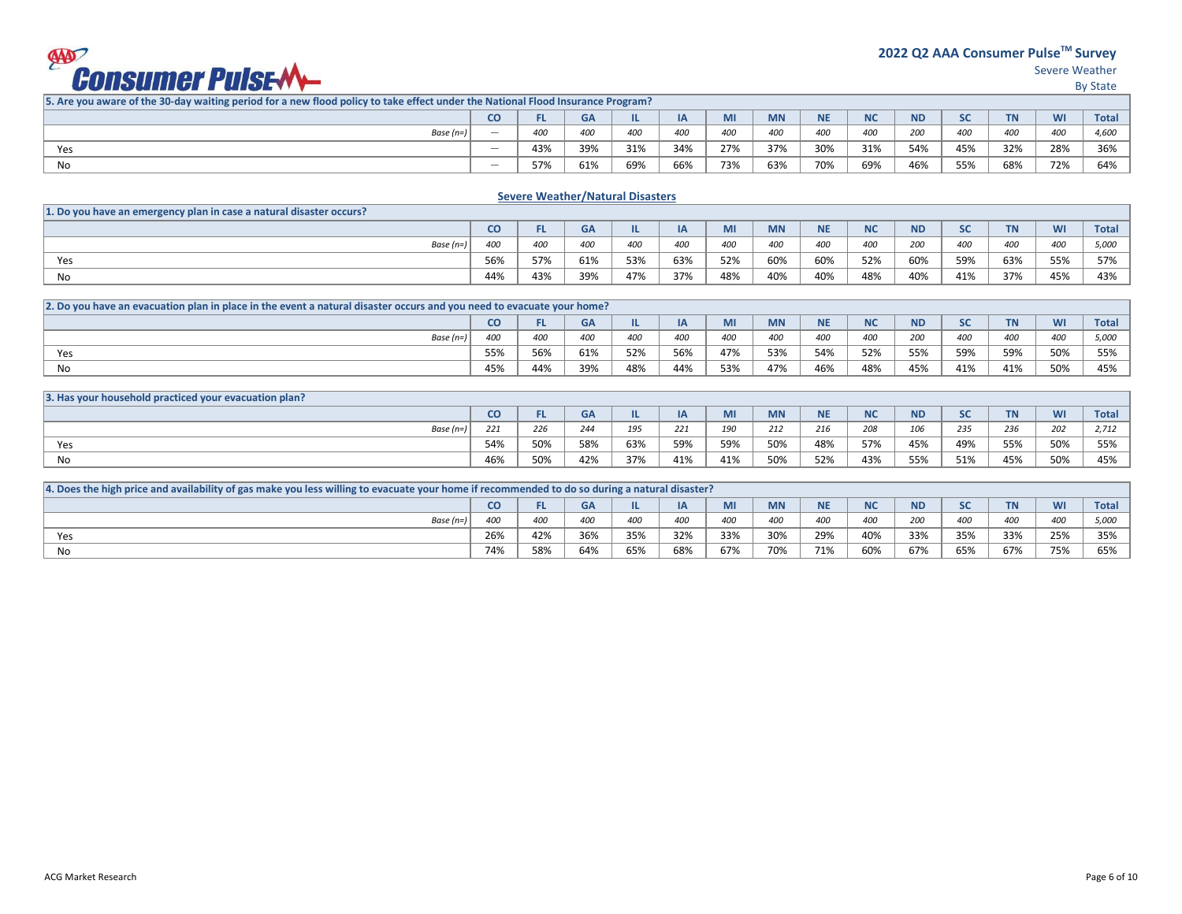**2022 Q2 AAA Consumer PulseTM Survey** 

Severe Weather

By State

|             | $\overline{c}$           |     | <b>GA</b> | TL. | IA  | MI  | <b>MN</b> | <b>NIE</b><br>IVE | <b>NC</b> | <b>ND</b> | $\mathbf{c}$<br>- | <b>TN</b> | WI  | <b>Total</b> |
|-------------|--------------------------|-----|-----------|-----|-----|-----|-----------|-------------------|-----------|-----------|-------------------|-----------|-----|--------------|
| Base (n=) ' |                          | 400 | 400       | 400 | 400 | 400 | 400       | 400               | 400       | 200       | 400               | 400       | 400 | 4,600        |
| Yes         |                          | 43% | 39%       | 31% | 34% | 27% | 37%       | 30%               | 31%       | 54%       | 45%               | 32%       | 28% | 36%          |
| No          | $\overline{\phantom{a}}$ | 57% | 61%       | 69% | 66% | 73% | 63%       | 70%               | 69%       | 46%       | 55%               | 68%       | 72% | 64%          |

### **Severe Weather/Natural Disasters**

| 1. Do you have an emergency plan in case a natural disaster occurs? |               |     |     |     |     |     |            |           |            |           |              |             |     |                            |
|---------------------------------------------------------------------|---------------|-----|-----|-----|-----|-----|------------|-----------|------------|-----------|--------------|-------------|-----|----------------------------|
|                                                                     | CO.           |     | GA  |     |     | MІ  | <b>MN</b>  | <b>NE</b> | <b>NIC</b> | <b>ND</b> | $\mathbf{c}$ | <b>TEAM</b> | WI  | <b>Total</b>               |
| Base $(n=)$                                                         | $400^{\circ}$ | 400 | 400 | 400 | 400 | 400 | <b>400</b> | 400       | <b>400</b> | 200       | 400          | 400         | 400 | $F$ <sup>000</sup><br>5,00 |
| Yes                                                                 | 56%           | 57% | 61% | 53% | 63% | 52% | 60%        | 60%       | 52%        | 60%       | 59%          | 63%         | 55% | 57%                        |
| No                                                                  | 44%           | 43% | 39% | 47% | 37% | 48% | 40%        | 40%       | 48%        | 40%       | 41%          | 37%         | 45% | 43%                        |

| 2. Do you have an evacuation plan in place in the event a natural disaster occurs and you need to evacuate your home? |     |     |     |     |           |             |           |             |            |           |           |           |     |              |
|-----------------------------------------------------------------------------------------------------------------------|-----|-----|-----|-----|-----------|-------------|-----------|-------------|------------|-----------|-----------|-----------|-----|--------------|
|                                                                                                                       | CO  | FL. | GΑ  |     | <b>IA</b> | <b>IVII</b> | <b>MN</b> | NIE.<br>IVE | <b>NIC</b> | <b>ND</b> | 5C<br>JL. | <b>TN</b> | WI  | <b>Total</b> |
| Base (n=)                                                                                                             | 400 | 400 | 400 | 400 | 400       | 400         | 400       | 400         |            | 200       | 400       | 400       | 400 | 5.000        |
| Yes                                                                                                                   | 55% | 56% | 61% | 52% | 56%       | 47%         | 53%       | 54%         | 52%        | 55%       | 59%       | 59%       | 50% | 55%          |
| No                                                                                                                    | 45% | 44% | 39% | 48% | 44%       | 53%         | 47%       | 46%         | 48%        | 45%       | 41%       | 41%       | 50% | 45%          |

| 3. Has your household practiced your evacuation plan? |     |     |           |     |     |     |           |             |              |           |                              |                             |     |              |
|-------------------------------------------------------|-----|-----|-----------|-----|-----|-----|-----------|-------------|--------------|-----------|------------------------------|-----------------------------|-----|--------------|
|                                                       | co  |     | <b>GA</b> |     | IA  | MI  | <b>MN</b> | <b>NE</b>   | $\mathbf{A}$ | <b>ND</b> | $\mathsf{c}\mathsf{c}$<br>ັບ | <b>TM</b><br>$\blacksquare$ | WI  | <b>Total</b> |
| Base $(n=)$                                           | 771 | 226 | 244       | 195 | 221 | 190 | 212       | 240<br>21 t | 208          | 106       | 235                          | 236                         | 202 | 2,712        |
| Yes                                                   | 54% | 50% | 58%       | 63% | 59% | 59% | 50%       | 48%         | 57%          | 45%       | 49%                          | 55%                         | 50% | 55%          |
| No                                                    | 46% | 50% | 42%       | 37% | 41% | 41% | 50%       | 52%         | 43%          | 55%       | 51%                          | 45%                         | 50% | 45%          |

| 4. Does the high price and availability of gas make you less willing to evacuate your home if recommended to do so during a natural disaster? |     |     |     |            |     |     |           |     |           |     |     |     |     |                      |
|-----------------------------------------------------------------------------------------------------------------------------------------------|-----|-----|-----|------------|-----|-----|-----------|-----|-----------|-----|-----|-----|-----|----------------------|
|                                                                                                                                               | CO. | -   | GΑ  |            |     |     | <b>MN</b> |     | <b>NC</b> | ND  |     |     | WI  | <b>Total</b>         |
| Base (n=)                                                                                                                                     | 400 | 400 | 400 | <b>400</b> | 400 | 400 | 400       | 400 | 400       | 200 | 400 | 400 | 400 | 5.000<br><b>J,UU</b> |
| Yes                                                                                                                                           | 26% | 42% | 36% | 35%        | 32% | 33% | 30%       | 29% | 40%       | 33% | 35% | 33% | 25% | 35%                  |
| No                                                                                                                                            | 74% | 58% | 64% | 65%        | 68% | 67% | 70%       | 71% | 60%       | 67% | 65% | 67% | 75% | 65%                  |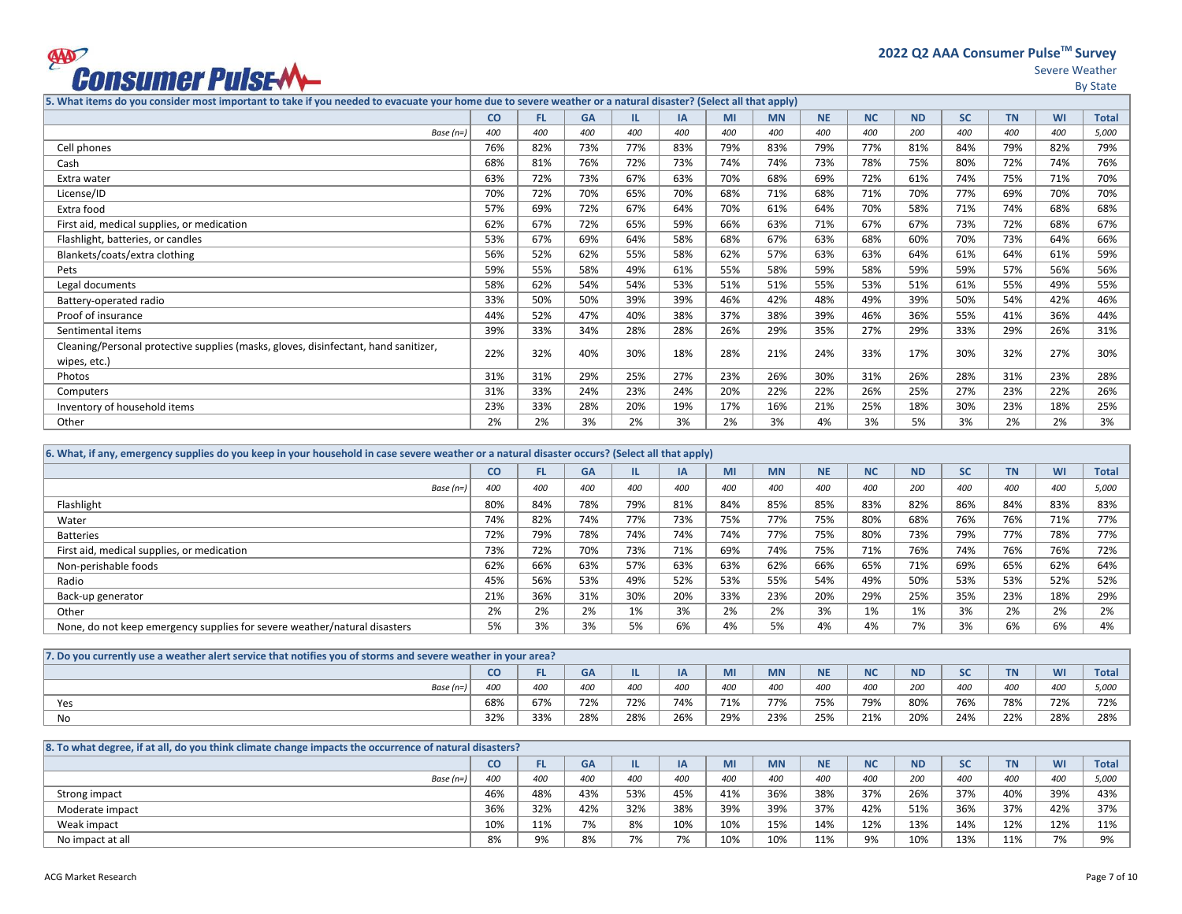

**2022 Q2 AAA Consumer PulseTM Survey** 

Severe Weather

By State

**5. What items do you consider most important to take if you needed to evacuate your home due to severe weather or a natural disaster? (Select all that apply)**

|                                                                                     | <b>CO</b> | FL. | <b>GA</b> | IL. | <b>IA</b> | MI  | <b>MN</b> | <b>NE</b> | <b>NC</b> | <b>ND</b> | <b>SC</b> | <b>TN</b> | <b>WI</b> | <b>Total</b> |
|-------------------------------------------------------------------------------------|-----------|-----|-----------|-----|-----------|-----|-----------|-----------|-----------|-----------|-----------|-----------|-----------|--------------|
| Base $(n=)$                                                                         | 400       | 400 | 400       | 400 | 400       | 400 | 400       | 400       | 400       | 200       | 400       | 400       | 400       | 5,000        |
| Cell phones                                                                         | 76%       | 82% | 73%       | 77% | 83%       | 79% | 83%       | 79%       | 77%       | 81%       | 84%       | 79%       | 82%       | 79%          |
| Cash                                                                                | 68%       | 81% | 76%       | 72% | 73%       | 74% | 74%       | 73%       | 78%       | 75%       | 80%       | 72%       | 74%       | 76%          |
| Extra water                                                                         | 63%       | 72% | 73%       | 67% | 63%       | 70% | 68%       | 69%       | 72%       | 61%       | 74%       | 75%       | 71%       | 70%          |
| License/ID                                                                          | 70%       | 72% | 70%       | 65% | 70%       | 68% | 71%       | 68%       | 71%       | 70%       | 77%       | 69%       | 70%       | 70%          |
| Extra food                                                                          | 57%       | 69% | 72%       | 67% | 64%       | 70% | 61%       | 64%       | 70%       | 58%       | 71%       | 74%       | 68%       | 68%          |
| First aid, medical supplies, or medication                                          | 62%       | 67% | 72%       | 65% | 59%       | 66% | 63%       | 71%       | 67%       | 67%       | 73%       | 72%       | 68%       | 67%          |
| Flashlight, batteries, or candles                                                   | 53%       | 67% | 69%       | 64% | 58%       | 68% | 67%       | 63%       | 68%       | 60%       | 70%       | 73%       | 64%       | 66%          |
| Blankets/coats/extra clothing                                                       | 56%       | 52% | 62%       | 55% | 58%       | 62% | 57%       | 63%       | 63%       | 64%       | 61%       | 64%       | 61%       | 59%          |
| Pets                                                                                | 59%       | 55% | 58%       | 49% | 61%       | 55% | 58%       | 59%       | 58%       | 59%       | 59%       | 57%       | 56%       | 56%          |
| Legal documents                                                                     | 58%       | 62% | 54%       | 54% | 53%       | 51% | 51%       | 55%       | 53%       | 51%       | 61%       | 55%       | 49%       | 55%          |
| Battery-operated radio                                                              | 33%       | 50% | 50%       | 39% | 39%       | 46% | 42%       | 48%       | 49%       | 39%       | 50%       | 54%       | 42%       | 46%          |
| Proof of insurance                                                                  | 44%       | 52% | 47%       | 40% | 38%       | 37% | 38%       | 39%       | 46%       | 36%       | 55%       | 41%       | 36%       | 44%          |
| Sentimental items                                                                   | 39%       | 33% | 34%       | 28% | 28%       | 26% | 29%       | 35%       | 27%       | 29%       | 33%       | 29%       | 26%       | 31%          |
| Cleaning/Personal protective supplies (masks, gloves, disinfectant, hand sanitizer, | 22%       | 32% | 40%       | 30% | 18%       | 28% | 21%       | 24%       | 33%       | 17%       | 30%       | 32%       | 27%       | 30%          |
| wipes, etc.)                                                                        |           |     |           |     |           |     |           |           |           |           |           |           |           |              |
| Photos                                                                              | 31%       | 31% | 29%       | 25% | 27%       | 23% | 26%       | 30%       | 31%       | 26%       | 28%       | 31%       | 23%       | 28%          |
| Computers                                                                           | 31%       | 33% | 24%       | 23% | 24%       | 20% | 22%       | 22%       | 26%       | 25%       | 27%       | 23%       | 22%       | 26%          |
| Inventory of household items                                                        | 23%       | 33% | 28%       | 20% | 19%       | 17% | 16%       | 21%       | 25%       | 18%       | 30%       | 23%       | 18%       | 25%          |
| Other                                                                               | 2%        | 2%  | 3%        | 2%  | 3%        | 2%  | 3%        | 4%        | 3%        | 5%        | 3%        | 2%        | 2%        | 3%           |
|                                                                                     |           |     |           |     |           |     |           |           |           |           |           |           |           |              |

| 6. What, if any, emergency supplies do you keep in your household in case severe weather or a natural disaster occurs? (Select all that apply) |     |           |           |     |           |     |           |           |           |           |           |           |           |              |
|------------------------------------------------------------------------------------------------------------------------------------------------|-----|-----------|-----------|-----|-----------|-----|-----------|-----------|-----------|-----------|-----------|-----------|-----------|--------------|
|                                                                                                                                                | co  | <b>FL</b> | <b>GA</b> |     | <b>IA</b> | MI  | <b>MN</b> | <b>NE</b> | <b>NC</b> | <b>ND</b> | <b>SC</b> | <b>TN</b> | <b>WI</b> | <b>Total</b> |
| Base (n=)                                                                                                                                      | 400 | 400       | 400       | 400 | 400       | 400 | 400       | 400       | 400       | 200       | 400       | 400       | 400       | 5.000        |
| Flashlight                                                                                                                                     | 80% | 84%       | 78%       | 79% | 81%       | 84% | 85%       | 85%       | 83%       | 82%       | 86%       | 84%       | 83%       | 83%          |
| Water                                                                                                                                          | 74% | 82%       | 74%       | 77% | 73%       | 75% | 77%       | 75%       | 80%       | 68%       | 76%       | 76%       | 71%       | 77%          |
| <b>Batteries</b>                                                                                                                               | 72% | 79%       | 78%       | 74% | 74%       | 74% | 77%       | 75%       | 80%       | 73%       | 79%       | 77%       | 78%       | 77%          |
| First aid, medical supplies, or medication                                                                                                     | 73% | 72%       | 70%       | 73% | 71%       | 69% | 74%       | 75%       | 71%       | 76%       | 74%       | 76%       | 76%       | 72%          |
| Non-perishable foods                                                                                                                           | 62% | 66%       | 63%       | 57% | 63%       | 63% | 62%       | 66%       | 65%       | 71%       | 69%       | 65%       | 62%       | 64%          |
| Radio                                                                                                                                          | 45% | 56%       | 53%       | 49% | 52%       | 53% | 55%       | 54%       | 49%       | 50%       | 53%       | 53%       | 52%       | 52%          |
| Back-up generator                                                                                                                              | 21% | 36%       | 31%       | 30% | 20%       | 33% | 23%       | 20%       | 29%       | 25%       | 35%       | 23%       | 18%       | 29%          |
| Other                                                                                                                                          | 2%  | 2%        | 2%        | 1%  | 3%        | 2%  | 2%        | 3%        | 1%        | 1%        | 3%        | 2%        | 2%        | 2%           |
| None, do not keep emergency supplies for severe weather/natural disasters                                                                      | 5%  | 3%        | 3%        | 5%  | 6%        | 4%  | 5%        | 4%        | 4%        | 7%        | 3%        | 6%        | 6%        | 4%           |

| 7. Do you currently use a weather alert service that notifies you of storms and severe weather in your area? |     |     |           |     |     |     |           |                    |                  |           |           |           |     |              |
|--------------------------------------------------------------------------------------------------------------|-----|-----|-----------|-----|-----|-----|-----------|--------------------|------------------|-----------|-----------|-----------|-----|--------------|
|                                                                                                              | co  |     | <b>GA</b> |     |     | MI  | <b>MN</b> | <b>NIE</b><br>14 L | <b>AIC</b><br>טע | <b>ND</b> | <b>SC</b> | <b>TN</b> | WI  | <b>Total</b> |
| Base $(n=)$                                                                                                  | 400 | 400 | 400       | 400 | 400 | 400 | 400       | 400                | 400              | 200       | 400       | 400       | 400 | 5,000        |
| Yes                                                                                                          | 68% | 67% | 72%       | 72% | 74% | 71% | 77%       | 75%                | 79%              | 80%       | 76%       | 78%       | 72% | 72%          |
| No                                                                                                           | 32% | 33% | 28%       | 28% | 26% | 29% | 23%       | 25%                | 21%              | 20%       | 24%       | 22%       | 28% | 28%          |

| 8. To what degree, if at all, do you think climate change impacts the occurrence of natural disasters? |     |     |     |     |           |     |           |           |           |           |     |           |     |                |
|--------------------------------------------------------------------------------------------------------|-----|-----|-----|-----|-----------|-----|-----------|-----------|-----------|-----------|-----|-----------|-----|----------------|
|                                                                                                        | CO  |     | GA  |     |           | МI  | <b>MN</b> | <b>NE</b> | <b>NC</b> | <b>ND</b> |     | <b>TN</b> | WI  | <b>Total</b>   |
| Base $(n=)$                                                                                            | 400 | 400 | 400 | 400 | 400       | 400 | 400       | 400       | 400       | 200       | 400 | 400       | 400 | 5,000          |
| Strong impact                                                                                          | 46% | 48% | 43% | 53% | 45%       | 41% | 36%       | 38%       | 37%       | 26%       | 37% | 40%       | 39% | 43%            |
| Moderate impact                                                                                        | 36% | 32% | 42% | 32% | 38%       | 39% | 39%       | 37%       | 42%       | 51%       | 36% | 37%       | 42% | 37%            |
| Weak impact                                                                                            | 10% | 11% | 7%  | 8%  | 10%       | 10% | 15%       | 14%       | 12%       | 13%       | 14% | 12%       | 12% | 11%            |
| No impact at all                                                                                       | 8%  | 9%  | 8%  | 7%  | 70/<br>ە7 | 10% | 10%       | 11%       | 9%        | 10%       | 13% | 11%       | 7%  | Q <sub>0</sub> |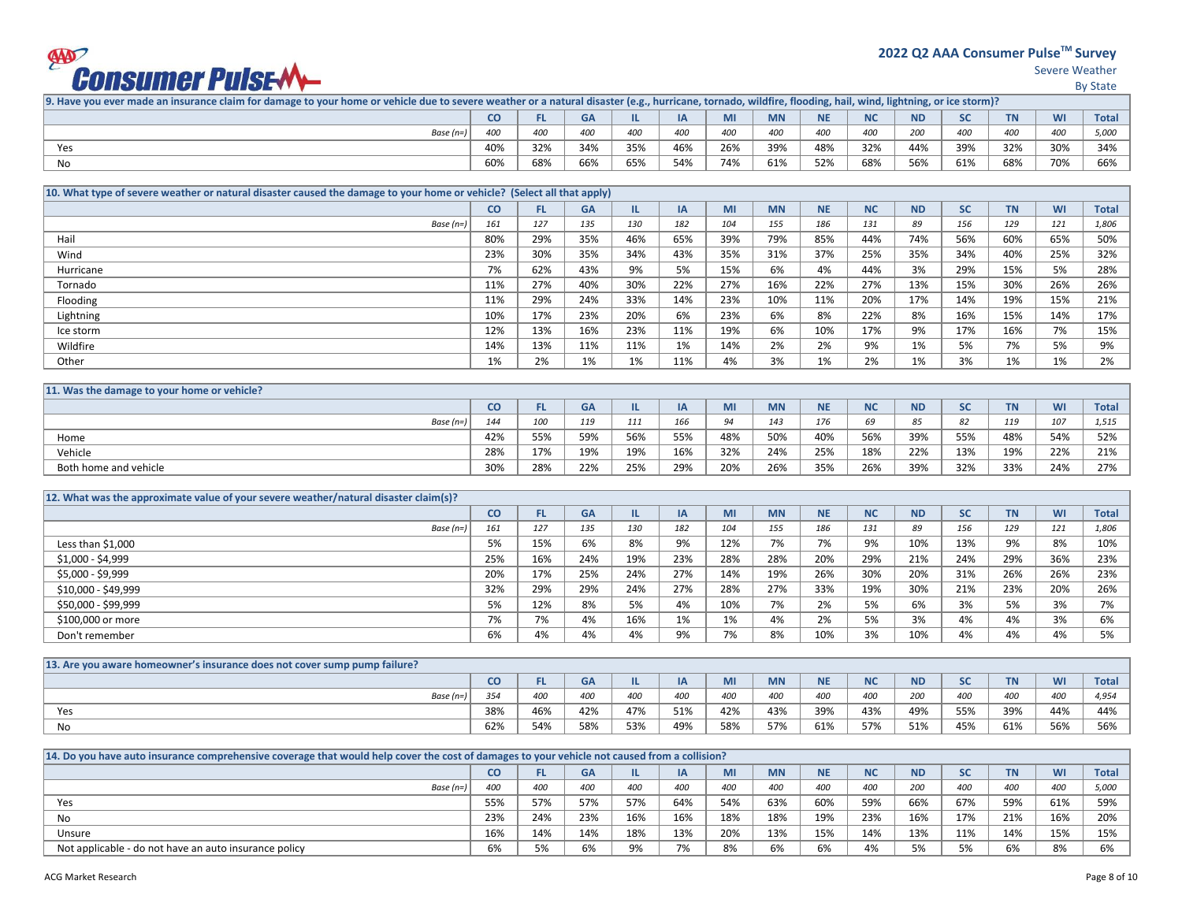# **9997<br>Consumer Pulse-M**

**2022 Q2 AAA Consumer PulseTM Survey** 

Severe Weather

|--|--|

| 9. Have you ever made an insurance claim for damage to your home or vehicle due to severe weather or a natural disaster (e.g., hurricane, tornado, wildfire, flooding, hail, wind, lightning, or ice storm)? |                 |                 |     |     |           |     |           |           |           |           |     |           |     |              |
|--------------------------------------------------------------------------------------------------------------------------------------------------------------------------------------------------------------|-----------------|-----------------|-----|-----|-----------|-----|-----------|-----------|-----------|-----------|-----|-----------|-----|--------------|
|                                                                                                                                                                                                              | co              |                 | GΑ  |     | <b>IA</b> |     | <b>MN</b> | <b>NE</b> | <b>NC</b> | <b>ND</b> |     | <b>TN</b> | WI  | <b>Total</b> |
| Base (n=)                                                                                                                                                                                                    | 40 <sup>c</sup> | 40 <sub>C</sub> | 400 | 400 | 400       | 400 | 400       | 400       | 400       | 200       | 400 | 400       | 400 | 5,000        |
| Yes                                                                                                                                                                                                          | 40%             | 32%             | 34% | 35% | 46%       | 26% | 39%       | 48%       | 32%       | 44%       | 39% | 32%       | 30% | 34%          |
| No                                                                                                                                                                                                           | 60%             | 68%             | 66% | 65% | 54%       | 74% | 61%       | 52%       | 68%       | 56%       | 61% | 68%       | 70% | 66%          |
|                                                                                                                                                                                                              |                 |                 |     |     |           |     |           |           |           |           |     |           |     |              |

| 10. What type of severe weather or natural disaster caused the damage to your home or vehicle? (Select all that apply) |     |     |           |     |           |     |           |           |           |           |           |           |           |              |
|------------------------------------------------------------------------------------------------------------------------|-----|-----|-----------|-----|-----------|-----|-----------|-----------|-----------|-----------|-----------|-----------|-----------|--------------|
|                                                                                                                        | CO  | FL. | <b>GA</b> |     | <b>IA</b> | MI  | <b>MN</b> | <b>NE</b> | <b>NC</b> | <b>ND</b> | <b>SC</b> | <b>TN</b> | <b>WI</b> | <b>Total</b> |
| Base $(n=)$                                                                                                            | 161 | 127 | 135       | 130 | 182       | 104 | 155       | 186       | 131       | 89        | 156       | 129       | 121       | 1,806        |
| Hail                                                                                                                   | 80% | 29% | 35%       | 46% | 65%       | 39% | 79%       | 85%       | 44%       | 74%       | 56%       | 60%       | 65%       | 50%          |
| Wind                                                                                                                   | 23% | 30% | 35%       | 34% | 43%       | 35% | 31%       | 37%       | 25%       | 35%       | 34%       | 40%       | 25%       | 32%          |
| Hurricane                                                                                                              | 7%  | 62% | 43%       | 9%  | 5%        | 15% | 6%        | 4%        | 44%       | 3%        | 29%       | 15%       | 5%        | 28%          |
| Tornado                                                                                                                | 11% | 27% | 40%       | 30% | 22%       | 27% | 16%       | 22%       | 27%       | 13%       | 15%       | 30%       | 26%       | 26%          |
| Flooding                                                                                                               | 11% | 29% | 24%       | 33% | 14%       | 23% | 10%       | 11%       | 20%       | 17%       | 14%       | 19%       | 15%       | 21%          |
| Lightning                                                                                                              | 10% | 17% | 23%       | 20% | 6%        | 23% | 6%        | 8%        | 22%       | 8%        | 16%       | 15%       | 14%       | 17%          |
| Ice storm                                                                                                              | 12% | 13% | 16%       | 23% | 11%       | 19% | 6%        | 10%       | 17%       | 9%        | 17%       | 16%       | 7%        | 15%          |
| Wildfire                                                                                                               | 14% | 13% | 11%       | 11% | 1%        | 14% | 2%        | 2%        | 9%        | 1%        | 5%        | 7%        | 5%        | 9%           |
| Other                                                                                                                  | 1%  | 2%  | 1%        | 1%  | 11%       | 4%  | 3%        | 1%        | 2%        | 1%        | 3%        | 1%        | 1%        | 2%           |

| 11. Was the damage to your home or vehicle? |           |     |     |     |     |               |           |            |                      |           |     |           |     |              |
|---------------------------------------------|-----------|-----|-----|-----|-----|---------------|-----------|------------|----------------------|-----------|-----|-----------|-----|--------------|
|                                             | <b>CO</b> | ы   | GΑ  |     | 12  | IVII          | <b>MN</b> | <b>NIE</b> | <b>N<sub>C</sub></b> | <b>ND</b> | SC  | <b>TN</b> | WI  | <b>Total</b> |
| Base (n=)                                   | 144       | 100 | 119 | 111 | 166 | $Q_{\Lambda}$ | 143       | 176        | 69                   | 85        | 82  | 119       | 107 | 1,515        |
| Home                                        | 42%       | 55% | 59% | 56% | 55% | 48%           | 50%       | 40%        | 56%                  | 39%       | 55% | 48%       | 54% | 52%          |
| Vehicle                                     | 28%       | 17% | 19% | 19% | 16% | 32%           | 24%       | 25%        | 18%                  | 22%       | 13% | 19%       | 22% | 21%          |
| Both home and vehicle                       | 30%       | 28% | 22% | 25% | 29% | 20%           | 26%       | 35%        | 26%                  | 39%       | 32% | 33%       | 24% | 27%          |

| 12. What was the approximate value of your severe weather/natural disaster claim(s)? |     |     |           |     |     |     |           |           |           |           |           |           |     |              |
|--------------------------------------------------------------------------------------|-----|-----|-----------|-----|-----|-----|-----------|-----------|-----------|-----------|-----------|-----------|-----|--------------|
|                                                                                      | CO  | FL. | <b>GA</b> |     | IA  | MI  | <b>MN</b> | <b>NE</b> | <b>NC</b> | <b>ND</b> | <b>SC</b> | <b>TN</b> | WI  | <b>Total</b> |
| Base $(n=)$                                                                          | 161 | 127 | 135       | 130 | 182 | 104 | 155       | 186       | 131       | 89        | 156       | 129       | 121 | 1,806        |
| Less than \$1,000                                                                    | 5%  | 15% | 6%        | 8%  | 9%  | 12% | 7%        | 7%        | 9%        | 10%       | 13%       | 9%        | 8%  | 10%          |
| \$1,000 - \$4,999                                                                    | 25% | 16% | 24%       | 19% | 23% | 28% | 28%       | 20%       | 29%       | 21%       | 24%       | 29%       | 36% | 23%          |
| \$5,000 - \$9,999                                                                    | 20% | 17% | 25%       | 24% | 27% | 14% | 19%       | 26%       | 30%       | 20%       | 31%       | 26%       | 26% | 23%          |
| \$10,000 - \$49,999                                                                  | 32% | 29% | 29%       | 24% | 27% | 28% | 27%       | 33%       | 19%       | 30%       | 21%       | 23%       | 20% | 26%          |
| \$50,000 - \$99,999                                                                  | 5%  | 12% | 8%        | 5%  | 4%  | 10% | 7%        | 2%        | 5%        | 6%        | 3%        | 5%        | 3%  | 7%           |
| \$100,000 or more                                                                    | 7%  | 7%  | 4%        | 16% | 1%  | 1%  | 4%        | 2%        | 5%        | 3%        | 4%        | 4%        | 3%  | 6%           |
| Don't remember                                                                       | 6%  | 4%  | 4%        | 4%  | 9%  | 7%  | 8%        | 10%       | 3%        | 10%       | 4%        | 4%        | 4%  | 5%           |

| 13. Are you aware homeowner's insurance does not cover sump pump failure? |     |     |     |     |     |     |           |           |                    |           |            |            |           |             |
|---------------------------------------------------------------------------|-----|-----|-----|-----|-----|-----|-----------|-----------|--------------------|-----------|------------|------------|-----------|-------------|
|                                                                           | co  | FL. | GA  |     | ΙA  | MI  | <b>MN</b> | <b>NE</b> | <b>NIC</b><br>'' y | <b>ND</b> | JU         | <b>TAI</b> | <b>WI</b> | <b>Tota</b> |
| Base (n=)                                                                 | 354 | 400 | 400 | 400 | 400 | 400 | 400       | 400       | 400                | 200       | <b>400</b> | 400        | 400       | 4,954       |
| Yes                                                                       | 38% | 46% | 42% | 47% | 51% | 42% | 43%       | 39%       | 43%                | 49%       | 55%        | 39%        | 44%       | 44%         |
| No                                                                        | 62% | 54% | 58% | 53% | 49% | 58% | 57%       | 61%       | 57%                | 51%       | 45%        | 61%        | 56%       | 56%         |

| 14. Do you have auto insurance comprehensive coverage that would help cover the cost of damages to your vehicle not caused from a collision? |     |            |           |     |     |     |            |     |           |           |           |           |     |              |
|----------------------------------------------------------------------------------------------------------------------------------------------|-----|------------|-----------|-----|-----|-----|------------|-----|-----------|-----------|-----------|-----------|-----|--------------|
|                                                                                                                                              | CO. |            | <b>GA</b> |     | IΑ  | MI  | <b>MN</b>  | ΝE  | <b>NC</b> | <b>ND</b> |           | <b>TN</b> | WI  | <b>Total</b> |
| Base $(n=)$                                                                                                                                  | 400 | 400        | 400       | 400 | 400 | 400 | <b>400</b> | 400 | 400       | 200       | 400       | 400       | 400 | 5.000        |
| Yes                                                                                                                                          | 55% | 57%        | 57%       | 57% | 64% | 54% | 63%        | 60% | 59%       | 66%       | 67%       | 59%       | 61% | 59%          |
| No                                                                                                                                           | 23% | 24%        | 23%       | 16% | 16% | 18% | 18%        | 19% | 23%       | 16%       | 17%       | 21%       | 16% | 20%          |
| Unsure                                                                                                                                       | 16% | 14%        | 14%       | 18% | 13% | 20% | 13%        | 15% | 14%       | 13%       | 11%       | 14%       | 15% | 15%          |
| Not applicable - do not have an auto insurance policy                                                                                        | 6%  | 5%<br>70 ل | 6%        | 9%  | 7%  | 8%  | 6%         | 6%  | 4%        | 5%        | 5%<br>، ر | 6%        | 8%  | 6%           |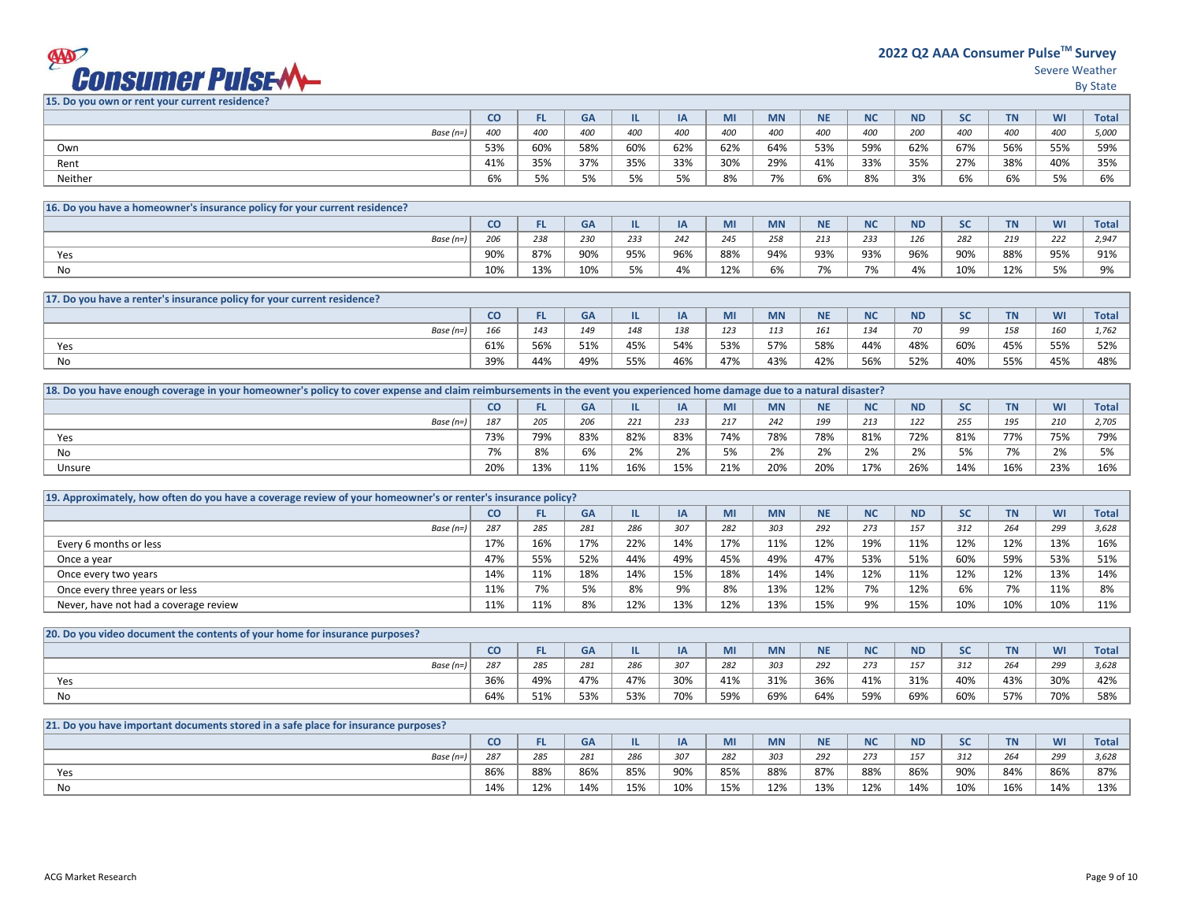## **EXPORTSUMER PUISE-MA**

Severe Weather

By State

**15. Do you own or rent your current residence?**

| <b>Total</b>                  |
|-------------------------------|
| 5,000                         |
| 59%                           |
| 35%                           |
| 6%                            |
| WI<br>400<br>55%<br>40%<br>5% |

| 16. Do you have a homeowner's insurance policy for your current residence? |     |     |     |     |            |     |           |                          |                          |     |     |     |                              |                |
|----------------------------------------------------------------------------|-----|-----|-----|-----|------------|-----|-----------|--------------------------|--------------------------|-----|-----|-----|------------------------------|----------------|
|                                                                            | co  |     | GA  |     | IA         | MI  | <b>MN</b> | ΝE                       | 11 C                     | ND  |     |     | WI                           | <b>Total</b>   |
| Base $(n=)$                                                                | 206 | 238 | 230 | 233 | 242<br>242 | 245 | 258       | 213                      | 233                      | 126 | 282 | 219 | 222                          | 2,947          |
| Yes                                                                        | 90% | 87% | 90% | 95% | 96%        | 88% | 94%       | 93%                      | 93%                      | 96% | 90% | 88% | 95%                          | Q10/<br>コエバ    |
| No                                                                         | 10% | 13% | 10% | 5%  | 4%         | 12% | 6%        | $\overline{\phantom{a}}$ | $\overline{\phantom{a}}$ | 4%  | 10% | 12% | F <sub>0</sub><br><b>J70</b> | 0 <sup>0</sup> |

| 17. Do you have a renter's insurance policy for your current residence? |     |     |     |     |     |      |           |                   |            |           |     |           |     |       |
|-------------------------------------------------------------------------|-----|-----|-----|-----|-----|------|-----------|-------------------|------------|-----------|-----|-----------|-----|-------|
|                                                                         | CO  |     | GA  |     |     | 1711 | <b>MN</b> | <b>NIE</b><br>. . | <b>NC</b>  | <b>ND</b> | っこ  | <b>TN</b> | WI  | Total |
| Base $(n=)$                                                             | 166 | 143 | 149 | 148 | 138 | 123  | 113       | 161               | 121<br>. س | 70        | フフ  | 158       | 160 | 1.762 |
| Yes                                                                     | 61% | 56% | 51% | 45% | 54% | 53%  | 57%       | 58%               | 44%        | 48%       | 60% | 45%       | 55% | 52%   |
| No                                                                      | 39% | 44% | 49% | 55% | 46% | 47%  | 43%       | 42%               | 56%        | 52%       | 40% | 55%       | 45% | 48%   |

| [18] 18. Do you have enough coverage in your homeowner's policy to cover expense and claim reimbursements in the event you experienced home damage due to a natural disaster? |     |           |     |                          |     |     |           |            |            |           |     |           |              |              |
|-------------------------------------------------------------------------------------------------------------------------------------------------------------------------------|-----|-----------|-----|--------------------------|-----|-----|-----------|------------|------------|-----------|-----|-----------|--------------|--------------|
|                                                                                                                                                                               | cо  | <b>CI</b> | GΑ  |                          |     | MI  | <b>MN</b> | <b>NIE</b> | <b>NIC</b> | <b>ND</b> | SC  | <b>TN</b> | WI           | <b>Total</b> |
| Base $(n=)$                                                                                                                                                                   | 187 | 205       | 206 | 221                      | 233 | 217 | 242       | 199        | 213        | 122       | 255 | 195       | 210          | 2,705        |
| Yes                                                                                                                                                                           | 73% | 79%       | 83% | 82%                      | 83% | 74% | 78%       | 78%        | 81%        | 72%       | 81% | 77%       | 75%          | 79%          |
| No                                                                                                                                                                            | 7%  | 8%        | 6%  | 20 <sup>1</sup><br>$2\%$ | 2%  | 50/ | 2%        | 2%         | 20/<br>Z%  | 2%        | 5%  | 70/       | 20/<br>$2\%$ | $F^{\alpha}$ |
| Unsure                                                                                                                                                                        | 20% | 13%       | 11% | 16%                      | 15% | 21% | 20%       | 20%        | 17%        | 26%       | 14% | 16%       | 23%          | 16%          |

| 19. Approximately, how often do you have a coverage review of your homeowner's or renter's insurance policy? |     |     |           |     |     |     |           |           |           |           |           |           |     |       |
|--------------------------------------------------------------------------------------------------------------|-----|-----|-----------|-----|-----|-----|-----------|-----------|-----------|-----------|-----------|-----------|-----|-------|
|                                                                                                              | cо  | FL. | <b>GA</b> |     | ΙA  | MI  | <b>MN</b> | <b>NE</b> | <b>NC</b> | <b>ND</b> | <b>SC</b> | <b>TN</b> | WI  | Total |
| Base $(n=)$                                                                                                  | 287 | 285 | 281       | 286 | 307 | 282 | 303       | 292       | 273       | 157       | 312       | 264       | 299 | 3,628 |
| Every 6 months or less                                                                                       | 17% | 16% | 17%       | 22% | 14% | 17% | 11%       | 12%       | 19%       | 11%       | 12%       | 12%       | 13% | 16%   |
| Once a year                                                                                                  | 47% | 55% | 52%       | 44% | 49% | 45% | 49%       | 47%       | 53%       | 51%       | 60%       | 59%       | 53% | 51%   |
| Once every two years                                                                                         | 14% | 11% | 18%       | 14% | 15% | 18% | 14%       | 14%       | 12%       | 11%       | 12%       | 12%       | 13% | 14%   |
| Once every three years or less                                                                               | 11% | 7%  | 5%        | 8%  | 9%  | 8%  | 13%       | 12%       | 7%        | 12%       | 6%        | 7%        | 11% | 8%    |
| Never, have not had a coverage review                                                                        | 11% | 11% | 8%        | 12% | 13% | 12% | 13%       | 15%       | 9%        | 15%       | 10%       | 10%       | 10% | 11%   |

| [20] 20. Do you video document the contents of your home for insurance purposes? |     |     |     |     |     |     |           |            |            |           |     |           |     |              |
|----------------------------------------------------------------------------------|-----|-----|-----|-----|-----|-----|-----------|------------|------------|-----------|-----|-----------|-----|--------------|
|                                                                                  | CO  | -   | GΑ  |     |     | wu  | <b>MN</b> | <b>AIF</b> | <b>NIC</b> | <b>ND</b> |     | <b>TN</b> | WI  | <b>Total</b> |
| Base (n=)                                                                        | 287 | 285 | 281 | 286 | 307 | 282 | 303       | 292        | 273        | 157       | 312 | 264       | 299 | 3,628        |
| Yes                                                                              | 36% | 49% | 47% | 47% | 30% | 41% | 31%       | 36%        | 41%        | 31%       | 40% | 43%       | 30% | 42%          |
| No                                                                               | 64% | 51% | 53% | 53% | 70% | 59% | 69%       | 64%        | 59%        | 69%       | 60% | 57%       | 70% | 58%          |

| [21. Do you have important documents stored in a safe place for insurance purposes?] |     |     |     |     |          |     |           |             |                |           |           |           |     |              |
|--------------------------------------------------------------------------------------|-----|-----|-----|-----|----------|-----|-----------|-------------|----------------|-----------|-----------|-----------|-----|--------------|
|                                                                                      | CO  | -   | GA  |     | IA.<br>∽ | wu  | <b>MN</b> | <b>ALC:</b> | <b>NIC</b><br> | <b>ND</b> | <b>SC</b> | <b>TN</b> | WI  | <b>Total</b> |
| Base (n=)                                                                            | 287 | 285 | 281 | 286 | 207      | 282 | 303       | 292         | 273            | 157       | 312       | 264       | 299 | 200<br>3,628 |
| Yes                                                                                  | 86% | 88% | 86% | 85% | 90%      | 85% | 88%       | 87%         | 88%            | 86%       | 90%       | 84%       | 86% | 87%          |
| No                                                                                   | 14% | 12% | 14% | 15% | 10%      | 15% | 12%       | 13%         | 12%            | 14%       | 10%       | 16%       | 14% | 13%          |